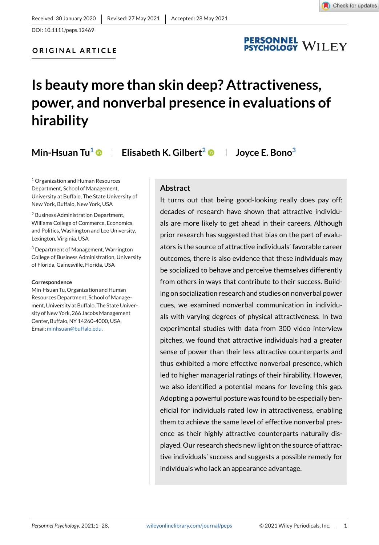DOI: 10.1111/peps.12469

## **ORIGINAL ARTICLE**

# PERSONNEL<br>PSYCHOLOGY WILEY

# **Is beauty more than skin deep? Attractiveness, power, and nonverbal presence in evaluations of hirability**

**Min-Hsuan Tu<sup>1</sup> Elisabeth K. Gilbert<sup>2</sup> Joyce E. Bono<sup>3</sup>**

<sup>1</sup> Organization and Human Resources Department, School of Management, University at Buffalo, The State University of New York, Buffalo, New York, USA

<sup>2</sup> Business Administration Department, Williams College of Commerce, Economics, and Politics, Washington and Lee University, Lexington, Virginia, USA

<sup>3</sup> Department of Management, Warrington College of Business Administration, University of Florida, Gainesville, Florida, USA

#### **Correspondence**

Min-Hsuan Tu, Organization and Human Resources Department, School of Management, University at Buffalo, The State University of New York, 266 Jacobs Management Center, Buffalo, NY 14260-4000, USA. Email: minhsuan@buffalo.edu.

### **Abstract**

It turns out that being good-looking really does pay off: decades of research have shown that attractive individuals are more likely to get ahead in their careers. Although prior research has suggested that bias on the part of evaluators is the source of attractive individuals' favorable career outcomes, there is also evidence that these individuals may be socialized to behave and perceive themselves differently from others in ways that contribute to their success. Building on socialization research and studies on nonverbal power cues, we examined nonverbal communication in individuals with varying degrees of physical attractiveness. In two experimental studies with data from 300 video interview pitches, we found that attractive individuals had a greater sense of power than their less attractive counterparts and thus exhibited a more effective nonverbal presence, which led to higher managerial ratings of their hirability. However, we also identified a potential means for leveling this gap. Adopting a powerful posture was found to be especially beneficial for individuals rated low in attractiveness, enabling them to achieve the same level of effective nonverbal presence as their highly attractive counterparts naturally displayed. Our research sheds new light on the source of attractive individuals' success and suggests a possible remedy for individuals who lack an appearance advantage.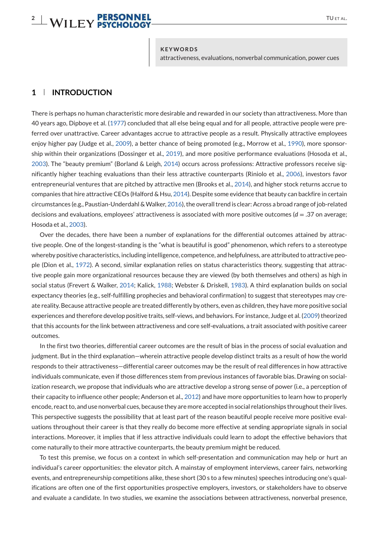# **2** WILEY PERSONNEL<br> **2** WILEY PSYCHOLOGY

attractiveness, evaluations, nonverbal communication, power cues

### **1 INTRODUCTION**

There is perhaps no human characteristic more desirable and rewarded in our society than attractiveness. More than 40 years ago, Dipboye et al. (1977) concluded that all else being equal and for all people, attractive people were preferred over unattractive. Career advantages accrue to attractive people as a result. Physically attractive employees enjoy higher pay (Judge et al., 2009), a better chance of being promoted (e.g., Morrow et al., 1990), more sponsorship within their organizations (Dossinger et al., 2019), and more positive performance evaluations (Hosoda et al., 2003). The "beauty premium" (Borland & Leigh, 2014) occurs across professions: Attractive professors receive significantly higher teaching evaluations than their less attractive counterparts (Riniolo et al., 2006), investors favor entrepreneurial ventures that are pitched by attractive men (Brooks et al., 2014), and higher stock returns accrue to companies that hire attractive CEOs (Halford & Hsu, 2014). Despite some evidence that beauty can backfire in certain circumstances (e.g., Paustian-Underdahl &Walker, 2016), the overall trend is clear: Across a broad range of job-related decisions and evaluations, employees' attractiveness is associated with more positive outcomes (*d* = .37 on average; Hosoda et al., 2003).

Over the decades, there have been a number of explanations for the differential outcomes attained by attractive people. One of the longest-standing is the "what is beautiful is good" phenomenon, which refers to a stereotype whereby positive characteristics, including intelligence, competence, and helpfulness, are attributed to attractive people (Dion et al., 1972). A second, similar explanation relies on status characteristics theory, suggesting that attractive people gain more organizational resources because they are viewed (by both themselves and others) as high in social status (Frevert & Walker, 2014; Kalick, 1988; Webster & Driskell, 1983). A third explanation builds on social expectancy theories (e.g., self-fulfilling prophecies and behavioral confirmation) to suggest that stereotypes may create reality. Because attractive people are treated differently by others, even as children, they have more positive social experiences and therefore develop positive traits, self-views, and behaviors. For instance, Judge et al. (2009) theorized that this accounts for the link between attractiveness and core self-evaluations, a trait associated with positive career outcomes.

In the first two theories, differential career outcomes are the result of bias in the process of social evaluation and judgment. But in the third explanation—wherein attractive people develop distinct traits as a result of how the world responds to their attractiveness—differential career outcomes may be the result of real differences in how attractive individuals communicate, even if those differences stem from previous instances of favorable bias. Drawing on socialization research, we propose that individuals who are attractive develop a strong sense of power (i.e., a perception of their capacity to influence other people; Anderson et al., 2012) and have more opportunities to learn how to properly encode, react to, and use nonverbal cues, because they are more accepted in social relationships throughout their lives. This perspective suggests the possibility that at least part of the reason beautiful people receive more positive evaluations throughout their career is that they really do become more effective at sending appropriate signals in social interactions. Moreover, it implies that if less attractive individuals could learn to adopt the effective behaviors that come naturally to their more attractive counterparts, the beauty premium might be reduced.

To test this premise, we focus on a context in which self-presentation and communication may help or hurt an individual's career opportunities: the elevator pitch. A mainstay of employment interviews, career fairs, networking events, and entrepreneurship competitions alike, these short (30 s to a few minutes) speeches introducing one's qualifications are often one of the first opportunities prospective employers, investors, or stakeholders have to observe and evaluate a candidate. In two studies, we examine the associations between attractiveness, nonverbal presence,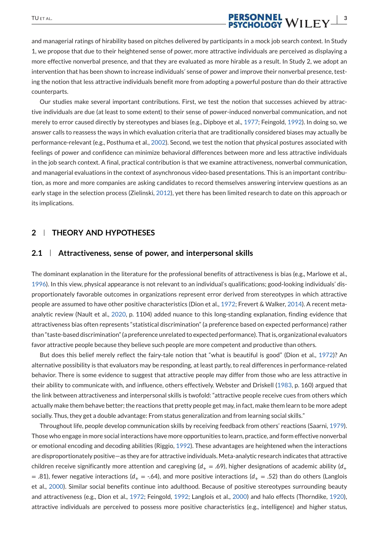# TUET AL. **DERSONNEL**<br>**3**<br>**3**<br>**2**<br>**2**<br>**2**<br>**2**<br>**2**<br>**2**<br>**2**<br>**3**<br>**3**

and managerial ratings of hirability based on pitches delivered by participants in a mock job search context. In Study 1, we propose that due to their heightened sense of power, more attractive individuals are perceived as displaying a more effective nonverbal presence, and that they are evaluated as more hirable as a result. In Study 2, we adopt an intervention that has been shown to increase individuals' sense of power and improve their nonverbal presence, testing the notion that less attractive individuals benefit more from adopting a powerful posture than do their attractive counterparts.

Our studies make several important contributions. First, we test the notion that successes achieved by attractive individuals are due (at least to some extent) to their sense of power-induced nonverbal communication, and not merely to error caused directly by stereotypes and biases (e.g., Dipboye et al., 1977; Feingold, 1992). In doing so, we answer calls to reassess the ways in which evaluation criteria that are traditionally considered biases may actually be performance-relevant (e.g., Posthuma et al., 2002). Second, we test the notion that physical postures associated with feelings of power and confidence can minimize behavioral differences between more and less attractive individuals in the job search context. A final, practical contribution is that we examine attractiveness, nonverbal communication, and managerial evaluations in the context of asynchronous video-based presentations. This is an important contribution, as more and more companies are asking candidates to record themselves answering interview questions as an early stage in the selection process (Zielinski, 2012), yet there has been limited research to date on this approach or its implications.

### **2 THEORY AND HYPOTHESES**

#### **2.1 Attractiveness, sense of power, and interpersonal skills**

The dominant explanation in the literature for the professional benefits of attractiveness is bias (e.g., Marlowe et al., 1996). In this view, physical appearance is not relevant to an individual's qualifications; good-looking individuals' disproportionately favorable outcomes in organizations represent error derived from stereotypes in which attractive people are assumed to have other positive characteristics (Dion et al., 1972; Frevert & Walker, 2014). A recent metaanalytic review (Nault et al., 2020, p. 1104) added nuance to this long-standing explanation, finding evidence that attractiveness bias often represents "statistical discrimination" (a preference based on expected performance) rather than "taste-based discrimination" (a preference unrelated to expected performance). That is, organizational evaluators favor attractive people because they believe such people are more competent and productive than others.

But does this belief merely reflect the fairy-tale notion that "what is beautiful is good" (Dion et al., 1972)? An alternative possibility is that evaluators may be responding, at least partly, to real differences in performance-related behavior. There is some evidence to suggest that attractive people may differ from those who are less attractive in their ability to communicate with, and influence, others effectively. Webster and Driskell (1983, p. 160) argued that the link between attractiveness and interpersonal skills is twofold: "attractive people receive cues from others which actually make them behave better; the reactions that pretty people get may, in fact, make them learn to be more adept socially. Thus, they get a double advantage: From status generalization and from learning social skills."

Throughout life, people develop communication skills by receiving feedback from others' reactions (Saarni, 1979). Those who engage in more social interactions have more opportunities to learn, practice, and form effective nonverbal or emotional encoding and decoding abilities (Riggio, 1992). These advantages are heightened when the interactions are disproportionately positive—as they are for attractive individuals. Meta-analytic research indicates that attractive children receive significantly more attention and caregiving  $(d_+ = .69)$ , higher designations of academic ability  $(d_+$  $=$  .81), fewer negative interactions ( $d_{+} =$  -.64), and more positive interactions ( $d_{+} =$  .52) than do others (Langlois et al., 2000). Similar social benefits continue into adulthood. Because of positive stereotypes surrounding beauty and attractiveness (e.g., Dion et al., 1972; Feingold, 1992; Langlois et al., 2000) and halo effects (Thorndike, 1920), attractive individuals are perceived to possess more positive characteristics (e.g., intelligence) and higher status,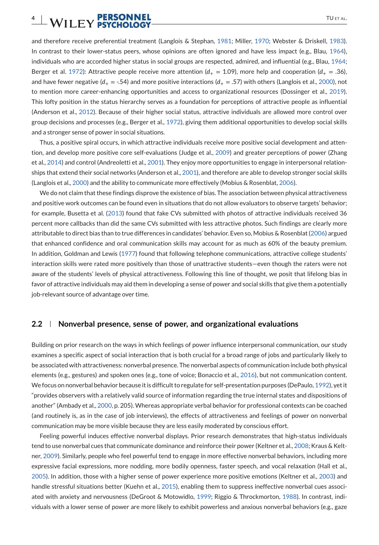and therefore receive preferential treatment (Langlois & Stephan, 1981; Miller, 1970; Webster & Driskell, 1983). In contrast to their lower-status peers, whose opinions are often ignored and have less impact (e.g., Blau, 1964), individuals who are accorded higher status in social groups are respected, admired, and influential (e.g., Blau, 1964; Berger et al. 1972): Attractive people receive more attention ( $d_{+} = 1.09$ ), more help and cooperation ( $d_{+} = .36$ ), and have fewer negative ( $d_+ = -0.54$ ) and more positive interactions ( $d_+ = 0.57$ ) with others (Langlois et al., 2000), not to mention more career-enhancing opportunities and access to organizational resources (Dossinger et al., 2019). This lofty position in the status hierarchy serves as a foundation for perceptions of attractive people as influential (Anderson et al., 2012). Because of their higher social status, attractive individuals are allowed more control over group decisions and processes (e.g., Berger et al., 1972), giving them additional opportunities to develop social skills and a stronger sense of power in social situations.

Thus, a positive spiral occurs, in which attractive individuals receive more positive social development and attention, and develop more positive core self-evaluations (Judge et al., 2009) and greater perceptions of power (Zhang et al., 2014) and control (Andreoletti et al., 2001). They enjoy more opportunities to engage in interpersonal relationships that extend their social networks (Anderson et al., 2001), and therefore are able to develop stronger social skills (Langlois et al., 2000) and the ability to communicate more effectively (Mobius & Rosenblat, 2006).

We do not claim that these findings disprove the existence of bias. The association between physical attractiveness and positive work outcomes can be found even in situations that do not allow evaluators to observe targets' behavior; for example, Busetta et al. (2013) found that fake CVs submitted with photos of attractive individuals received 36 percent more callbacks than did the same CVs submitted with less attractive photos. Such findings are clearly more attributable to direct bias than to true differences in candidates' behavior. Even so, Mobius & Rosenblat (2006) argued that enhanced confidence and oral communication skills may account for as much as 60% of the beauty premium. In addition, Goldman and Lewis (1977) found that following telephone communications, attractive college students' interaction skills were rated more positively than those of unattractive students—even though the raters were not aware of the students' levels of physical attractiveness. Following this line of thought, we posit that lifelong bias in favor of attractive individuals may aid them in developing a sense of power and social skills that give them a potentially job-relevant source of advantage over time.

#### **2.2 Nonverbal presence, sense of power, and organizational evaluations**

Building on prior research on the ways in which feelings of power influence interpersonal communication, our study examines a specific aspect of social interaction that is both crucial for a broad range of jobs and particularly likely to be associated with attractiveness: nonverbal presence. The nonverbal aspects of communication include both physical elements (e.g., gestures) and spoken ones (e.g., tone of voice; Bonaccio et al., 2016), but not communication content. We focus on nonverbal behavior because it is difficult to regulate for self-presentation purposes (DePaulo, 1992), yet it "provides observers with a relatively valid source of information regarding the true internal states and dispositions of another" (Ambady et al., 2000, p. 205). Whereas appropriate verbal behavior for professional contexts can be coached (and routinely is, as in the case of job interviews), the effects of attractiveness and feelings of power on nonverbal communication may be more visible because they are less easily moderated by conscious effort.

Feeling powerful induces effective nonverbal displays. Prior research demonstrates that high-status individuals tend to use nonverbal cues that communicate dominance and reinforce their power (Keltner et al., 2008; Kraus & Keltner, 2009). Similarly, people who feel powerful tend to engage in more effective nonverbal behaviors, including more expressive facial expressions, more nodding, more bodily openness, faster speech, and vocal relaxation (Hall et al., 2005). In addition, those with a higher sense of power experience more positive emotions (Keltner et al., 2003) and handle stressful situations better (Kuehn et al., 2015), enabling them to suppress ineffective nonverbal cues associated with anxiety and nervousness (DeGroot & Motowidlo, 1999; Riggio & Throckmorton, 1988). In contrast, individuals with a lower sense of power are more likely to exhibit powerless and anxious nonverbal behaviors (e.g., gaze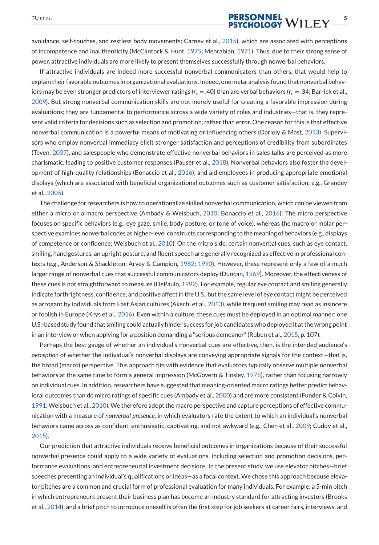# TUET AL. **PERSONNEL** WILEY SERVICE SERVICE SERVICE SERVICE SERVICE SERVICE SERVICE SERVICE SERVICE SERVICE SERVICE SERVICE SERVICE SERVICE SERVICE SERVICE SERVICE SERVICE SERVICE SERVICE SERVICE SERVICE SERVICE SERVICE SER

avoidance, self-touches, and restless body movements; Carney et al., 2015), which are associated with perceptions of incompetence and inauthenticity (McClintock & Hunt, 1975; Mehrabian, 1971). Thus, due to their strong sense of power, attractive individuals are more likely to present themselves successfully through nonverbal behaviors.

If attractive individuals are indeed more successful nonverbal communicators than others, that would help to explain their favorable outcomes in organizational evaluations. Indeed, one meta-analysis found that nonverbal behaviors may be even stronger predictors of interviewer ratings (*r<sup>c</sup>* = .40) than are verbal behaviors (*r<sup>c</sup>* = .34; Barrick et al., 2009). But strong nonverbal communication skills are not merely useful for creating a favorable impression during evaluations; they are fundamental to performance across a wide variety of roles and industries—that is, they represent valid criteria for decisions such as selection and promotion, rather than error. One reason for this is that effective nonverbal communication is a powerful means of motivating or influencing others (Darioly & Mast, 2013). Supervisors who employ nonverbal immediacy elicit stronger satisfaction and perceptions of credibility from subordinates (Teven, 2007), and salespeople who demonstrate effective nonverbal behaviors in sales talks are perceived as more charismatic, leading to positive customer responses (Pauser et al., 2018). Nonverbal behaviors also foster the development of high-quality relationships (Bonaccio et al., 2016), and aid employees in producing appropriate emotional displays (which are associated with beneficial organizational outcomes such as customer satisfaction; e.g., Grandey et al., 2005).

The challenge for researchers is how to operationalize skilled nonverbal communication, which can be viewed from either a micro or a macro perspective (Ambady & Weisbuch, 2010; Bonaccio et al., 2016): The micro perspective focuses on specific behaviors (e.g., eye gaze, smile, body posture, or tone of voice), whereas the macro or molar perspective examines nonverbal codes as higher-level constructs corresponding to the meaning of behaviors (e.g., displays of competence or confidence; Weisbuch et al., 2010). On the micro side, certain nonverbal cues, such as eye contact, smiling, hand gestures, an upright posture, and fluent speech are generally recognized as effective in professional contexts (e.g., Anderson & Shackleton; Arvey & Campion, 1982; 1990). However, these represent only a few of a much larger range of nonverbal cues that successful communicators deploy (Duncan, 1969). Moreover, the effectiveness of these cues is not straightforward to measure (DePaulo, 1992). For example, regular eye contact and smiling generally indicate forthrightness, confidence, and positive affect in the U.S., but the same level of eye contact might be perceived as arrogant by individuals from East Asian cultures (Akechi et al., 2013), while frequent smiling may read as insincere or foolish in Europe (Krys et al., 2016). Even within a culture, these cues must be deployed in an optimal manner; one U.S.-based study found that smiling could actually hinder success for job candidates who deployed it at the wrong point in an interview or when applying for a position demanding a "serious demeanor" (Ruben et al., 2015, p. 107).

Perhaps the best gauge of whether an individual's nonverbal cues are effective, then, is the intended audience's *perception* of whether the individual's nonverbal displays are conveying appropriate signals for the context—that is, the broad (macro) perspective. This approach fits with evidence that evaluators typically observe multiple nonverbal behaviors at the same time to form a general impression (McGovern & Tinsley, 1978), rather than focusing narrowly on individual cues. In addition, researchers have suggested that meaning-oriented macro ratings better predict behavioral outcomes than do micro ratings of specific cues (Ambady et al., 2000) and are more consistent (Funder & Colvin, 1991;Weisbuch et al., 2010).We therefore adopt the macro perspective and capture perceptions of effective communication with a measure of *nonverbal presence*, in which evaluators rate the extent to which an individual's nonverbal behaviors came across as confident, enthusiastic, captivating, and not awkward (e.g., Chen et al., 2009; Cuddy et al., 2015).

Our prediction that attractive individuals receive beneficial outcomes in organizations because of their successful nonverbal presence could apply to a wide variety of evaluations, including selection and promotion decisions, performance evaluations, and entrepreneurial investment decisions. In the present study, we use elevator pitches—brief speeches presenting an individual's qualifications or ideas—as a focal context. We chose this approach because elevator pitches are a common and crucial form of professional evaluation for many individuals. For example, a 5-min pitch in which entrepreneurs present their business plan has become an industry standard for attracting investors (Brooks et al., 2014), and a brief pitch to introduce oneself is often the first step for job seekers at career fairs, interviews, and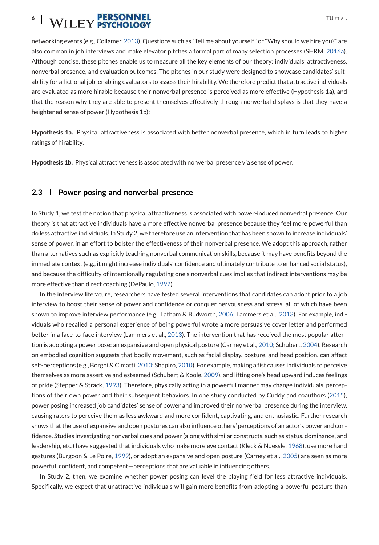networking events (e.g., Collamer, 2013). Questions such as "Tell me about yourself" or "Why should we hire you?" are also common in job interviews and make elevator pitches a formal part of many selection processes (SHRM, 2016a). Although concise, these pitches enable us to measure all the key elements of our theory: individuals' attractiveness, nonverbal presence, and evaluation outcomes. The pitches in our study were designed to showcase candidates' suitability for a fictional job, enabling evaluators to assess their hirability. We therefore predict that attractive individuals are evaluated as more hirable because their nonverbal presence is perceived as more effective (Hypothesis 1a), and that the reason why they are able to present themselves effectively through nonverbal displays is that they have a heightened sense of power (Hypothesis 1b):

**Hypothesis 1a.** Physical attractiveness is associated with better nonverbal presence, which in turn leads to higher ratings of hirability*.*

**Hypothesis 1b.** Physical attractiveness is associated with nonverbal presence via sense of power*.*

#### **2.3 Power posing and nonverbal presence**

In Study 1, we test the notion that physical attractiveness is associated with power-induced nonverbal presence. Our theory is that attractive individuals have a more effective nonverbal presence because they feel more powerful than do less attractive individuals. In Study 2, we therefore use an intervention that has been shown to increase individuals' sense of power, in an effort to bolster the effectiveness of their nonverbal presence. We adopt this approach, rather than alternatives such as explicitly teaching nonverbal communication skills, because it may have benefits beyond the immediate context (e.g., it might increase individuals' confidence and ultimately contribute to enhanced social status), and because the difficulty of intentionally regulating one's nonverbal cues implies that indirect interventions may be more effective than direct coaching (DePaulo, 1992).

In the interview literature, researchers have tested several interventions that candidates can adopt prior to a job interview to boost their sense of power and confidence or conquer nervousness and stress, all of which have been shown to improve interview performance (e.g., Latham & Budworth, 2006; Lammers et al., 2013). For example, individuals who recalled a personal experience of being powerful wrote a more persuasive cover letter and performed better in a face-to-face interview (Lammers et al., 2013). The intervention that has received the most popular attention is adopting a power pose: an expansive and open physical posture (Carney et al., 2010; Schubert, 2004). Research on embodied cognition suggests that bodily movement, such as facial display, posture, and head position, can affect self-perceptions (e.g., Borghi & Cimatti, 2010; Shapiro, 2010). For example, making a fist causes individuals to perceive themselves as more assertive and esteemed (Schubert & Koole, 2009), and lifting one's head upward induces feelings of pride (Stepper & Strack, 1993). Therefore, physically acting in a powerful manner may change individuals' perceptions of their own power and their subsequent behaviors. In one study conducted by Cuddy and coauthors (2015), power posing increased job candidates' sense of power and improved their nonverbal presence during the interview, causing raters to perceive them as less awkward and more confident, captivating, and enthusiastic. Further research shows that the use of expansive and open postures can also influence others*'* perceptions of an actor's power and confidence. Studies investigating nonverbal cues and power (along with similar constructs, such as status, dominance, and leadership, etc.) have suggested that individuals who make more eye contact (Kleck & Nuessle, 1968), use more hand gestures (Burgoon & Le Poire, 1999), or adopt an expansive and open posture (Carney et al., 2005) are seen as more powerful, confident, and competent—perceptions that are valuable in influencing others.

In Study 2, then, we examine whether power posing can level the playing field for less attractive individuals. Specifically, we expect that unattractive individuals will gain more benefits from adopting a powerful posture than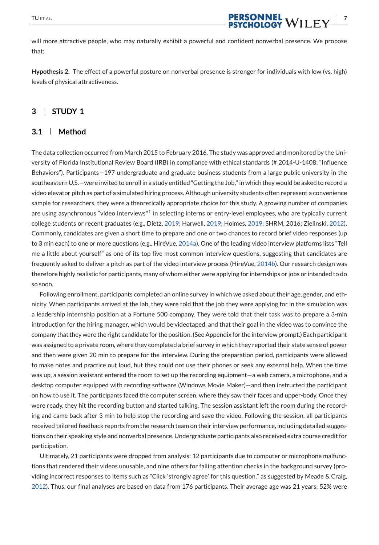

will more attractive people, who may naturally exhibit a powerful and confident nonverbal presence. We propose that:

**Hypothesis 2.** The effect of a powerful posture on nonverbal presence is stronger for individuals with low (vs. high) levels of physical attractiveness*.*

### **3 STUDY 1**

### **3.1 Method**

The data collection occurred from March 2015 to February 2016. The study was approved and monitored by the University of Florida Institutional Review Board (IRB) in compliance with ethical standards (# 2014-U-1408; "Influence Behaviors"). Participants—197 undergraduate and graduate business students from a large public university in the southeastern U.S.—were invited to enroll in a study entitled "Getting the Job," in which they would be asked to record a video elevator pitch as part of a simulated hiring process. Although university students often represent a convenience sample for researchers, they were a theoretically appropriate choice for this study. A growing number of companies are using asynchronous "video interviews"<sup>1</sup> in selecting interns or entry-level employees, who are typically current college students or recent graduates (e.g., Dietz, 2019; Harwell, 2019; Holmes, 2019; SHRM, 2016; Zielinski, 2012). Commonly, candidates are given a short time to prepare and one or two chances to record brief video responses (up to 3 min each) to one or more questions (e.g., HireVue, 2014a). One of the leading video interview platforms lists "Tell me a little about yourself" as one of its top five most common interview questions, suggesting that candidates are frequently asked to deliver a pitch as part of the video interview process (HireVue, 2014b). Our research design was therefore highly realistic for participants, many of whom either were applying for internships or jobs or intended to do so soon.

Following enrollment, participants completed an online survey in which we asked about their age, gender, and ethnicity. When participants arrived at the lab, they were told that the job they were applying for in the simulation was a leadership internship position at a Fortune 500 company. They were told that their task was to prepare a 3-min introduction for the hiring manager, which would be videotaped, and that their goal in the video was to convince the company that they were the right candidate for the position. (See Appendix for the interview prompt.) Each participant was assigned to a private room, where they completed a brief survey in which they reported their state sense of power and then were given 20 min to prepare for the interview. During the preparation period, participants were allowed to make notes and practice out loud, but they could not use their phones or seek any external help. When the time was up, a session assistant entered the room to set up the recording equipment—a web camera, a microphone, and a desktop computer equipped with recording software (Windows Movie Maker)—and then instructed the participant on how to use it. The participants faced the computer screen, where they saw their faces and upper-body. Once they were ready, they hit the recording button and started talking. The session assistant left the room during the recording and came back after 3 min to help stop the recording and save the video. Following the session, all participants received tailored feedback reports from the research team on their interview performance, including detailed suggestions on their speaking style and nonverbal presence. Undergraduate participants also received extra course credit for participation.

Ultimately, 21 participants were dropped from analysis: 12 participants due to computer or microphone malfunctions that rendered their videos unusable, and nine others for failing attention checks in the background survey (providing incorrect responses to items such as "Click 'strongly agree' for this question," as suggested by Meade & Craig, 2012). Thus, our final analyses are based on data from 176 participants. Their average age was 21 years; 52% were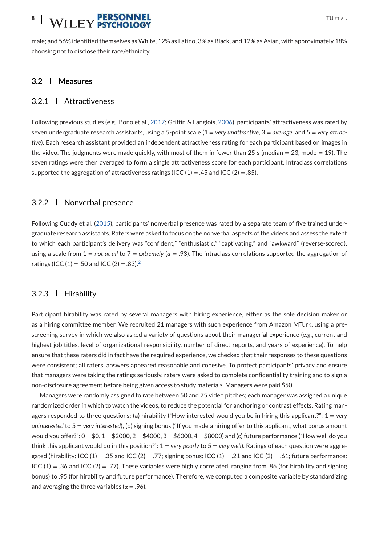# **8** | **WII FV PERSONNEL** TUETAL.

male; and 56% identified themselves as White, 12% as Latino, 3% as Black, and 12% as Asian, with approximately 18% choosing not to disclose their race/ethnicity.

### **3.2 Measures**

### 3.2.1 Attractiveness

Following previous studies (e.g., Bono et al., 2017; Griffin & Langlois, 2006), participants' attractiveness was rated by seven undergraduate research assistants, using a 5-point scale (1 = *very unattractive*, 3 = *average*, and 5 = *very attractive*). Each research assistant provided an independent attractiveness rating for each participant based on images in the video. The judgments were made quickly, with most of them in fewer than 25 s (median  $= 23$ , mode  $= 19$ ). The seven ratings were then averaged to form a single attractiveness score for each participant. Intraclass correlations supported the aggregation of attractiveness ratings (ICC  $(1) = .45$  and ICC  $(2) = .85$ ).

#### 3.2.2 Nonverbal presence

Following Cuddy et al. (2015), participants' nonverbal presence was rated by a separate team of five trained undergraduate research assistants. Raters were asked to focus on the nonverbal aspects of the videos and assess the extent to which each participant's delivery was "confident," "enthusiastic," "captivating," and "awkward" (reverse-scored), using a scale from 1 = *not at all* to 7 = *extremely* (*α* = .93). The intraclass correlations supported the aggregation of ratings (ICC (1) = .50 and ICC (2) = .83).<sup>2</sup>

#### 3.2.3 | Hirability

Participant hirability was rated by several managers with hiring experience, either as the sole decision maker or as a hiring committee member. We recruited 21 managers with such experience from Amazon MTurk, using a prescreening survey in which we also asked a variety of questions about their managerial experience (e.g., current and highest job titles, level of organizational responsibility, number of direct reports, and years of experience). To help ensure that these raters did in fact have the required experience, we checked that their responses to these questions were consistent; all raters' answers appeared reasonable and cohesive. To protect participants' privacy and ensure that managers were taking the ratings seriously, raters were asked to complete confidentiality training and to sign a non-disclosure agreement before being given access to study materials. Managers were paid \$50.

Managers were randomly assigned to rate between 50 and 75 video pitches; each manager was assigned a unique randomized order in which to watch the videos, to reduce the potential for anchoring or contrast effects. Rating managers responded to three questions: (a) hirability ("How interested would you be in hiring this applicant?": 1 = *very uninterested* to 5 = *very interested*), (b) signing bonus ("If you made a hiring offer to this applicant, what bonus amount would you offer?":  $0 = $0, 1 = $2000, 2 = $4000, 3 = $6000, 4 = $8000$  and (c) future performance ("How well do you think this applicant would do in this position?": 1 = *very poorly* to 5 = *very well*). Ratings of each question were aggregated (hirability: ICC (1) = .35 and ICC (2) = .77; signing bonus: ICC (1) = .21 and ICC (2) = .61; future performance: ICC  $(1) = .36$  and ICC  $(2) = .77$ ). These variables were highly correlated, ranging from .86 (for hirability and signing bonus) to .95 (for hirability and future performance). Therefore, we computed a composite variable by standardizing and averaging the three variables ( $\alpha = .96$ ).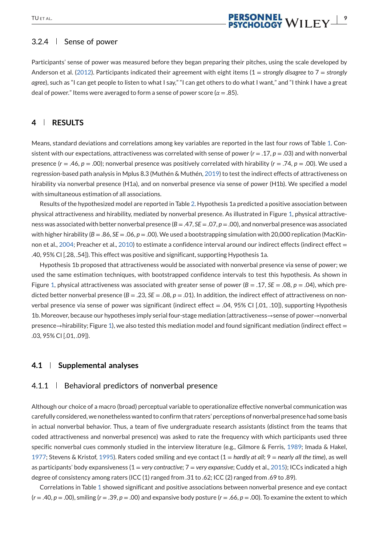# TU ET AL. **PERSONNEL**<br>**PERSONNEL**<br>**PSYCHOLOGY** WILEY

### 3.2.4 | Sense of power

Participants' sense of power was measured before they began preparing their pitches, using the scale developed by Anderson et al. (2012). Participants indicated their agreement with eight items (1 = *strongly disagree* to 7 = *strongly agree*), such as "I can get people to listen to what I say," "I can get others to do what I want," and "I think I have a great deal of power." Items were averaged to form a sense of power score ( $\alpha = .85$ ).

### **4 RESULTS**

Means, standard deviations and correlations among key variables are reported in the last four rows of Table 1. Consistent with our expectations, attractiveness was correlated with sense of power (*r* = .17, *p* = .03) and with nonverbal presence (*r* = .46, *p* = .00); nonverbal presence was positively correlated with hirability (*r* = .74, *p* = .00). We used a regression-based path analysis in Mplus 8.3 (Muthén & Muthén, 2019) to test the indirect effects of attractiveness on hirability via nonverbal presence (H1a), and on nonverbal presence via sense of power (H1b). We specified a model with simultaneous estimation of all associations.

Results of the hypothesized model are reported in Table 2. Hypothesis 1a predicted a positive association between physical attractiveness and hirability, mediated by nonverbal presence. As illustrated in Figure 1, physical attractiveness was associated with better nonverbal presence (*B* = .47, *SE* = .07, *p* = .00), and nonverbal presence was associated with higher hirability ( $B = 0.86$ ,  $SE = 0.06$ ,  $p = 0.00$ ). We used a bootstrapping simulation with 20,000 replication (MacKinnon et al., 2004; Preacher et al., 2010) to estimate a confidence interval around our indirect effects (indirect effect = .40, 95% CI [.28, .54]). This effect was positive and significant, supporting Hypothesis 1a.

Hypothesis 1b proposed that attractiveness would be associated with nonverbal presence via sense of power; we used the same estimation techniques, with bootstrapped confidence intervals to test this hypothesis. As shown in Figure 1, physical attractiveness was associated with greater sense of power  $(B = .17, SE = .08, p = .04)$ , which predicted better nonverbal presence  $(B = .23, SE = .08, p = .01)$ . In addition, the indirect effect of attractiveness on nonverbal presence via sense of power was significant (indirect effect = .04, 95% CI  $[.01, .10]$ ), supporting Hypothesis 1b. Moreover, because our hypotheses imply serial four-stage mediation (attractiveness→sense of power→nonverbal presence→hirability; Figure 1), we also tested this mediation model and found significant mediation (indirect effect = .03, 95% CI [.01, .09]).

#### **4.1 Supplemental analyses**

#### 4.1.1 Behavioral predictors of nonverbal presence

Although our choice of a macro (broad) perceptual variable to operationalize effective nonverbal communication was carefully considered, we nonetheless wanted to confirm that raters' perceptions of nonverbal presence had some basis in actual nonverbal behavior. Thus, a team of five undergraduate research assistants (distinct from the teams that coded attractiveness and nonverbal presence) was asked to rate the frequency with which participants used three specific nonverbal cues commonly studied in the interview literature (e.g., Gilmore & Ferris, 1989; Imada & Hakel, 1977; Stevens & Kristof, 1995). Raters coded smiling and eye contact (1 = *hardly at all*; 9 = *nearly all the time*), as well as participants' body expansiveness (1 = *very contractive*; 7 = *very expansive*; Cuddy et al., 2015); ICCs indicated a high degree of consistency among raters (ICC (1) ranged from .31 to .62; ICC (2) ranged from .69 to .89).

Correlations in Table 1 showed significant and positive associations between nonverbal presence and eye contact  $(r = .40, p = .00)$ , smiling  $(r = .39, p = .00)$  and expansive body posture  $(r = .66, p = .00)$ . To examine the extent to which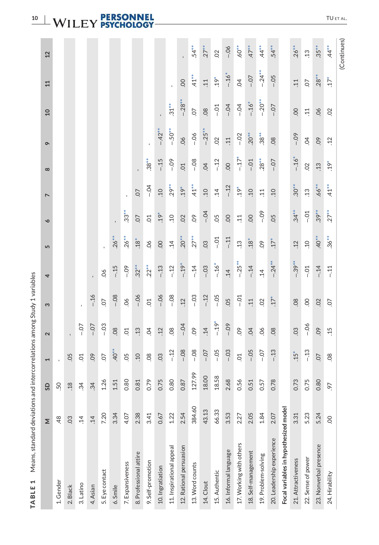# **10** | WILEY **PERSONNEL**

| Means, standard deviations and<br>TABLE <sub>1</sub> |            |                      |                          |                   | intercorrelations among Study 1 variables |            |                   |                 |                  |                |                 |                 |                   |                |
|------------------------------------------------------|------------|----------------------|--------------------------|-------------------|-------------------------------------------|------------|-------------------|-----------------|------------------|----------------|-----------------|-----------------|-------------------|----------------|
|                                                      | Σ          | G                    | $\overline{\phantom{0}}$ | $\mathbf{\Omega}$ | S                                         | 4          | 5                 | $\bullet$       | $\overline{ }$   | $\infty$       | $\sigma$        | $\overline{a}$  | 11                | $\overline{2}$ |
| 1. Gender                                            | 48         | 50                   | $\mathbf{I}$             |                   |                                           |            |                   |                 |                  |                |                 |                 |                   |                |
| 2. Black                                             | 03         | .18                  | 05                       |                   |                                           |            |                   |                 |                  |                |                 |                 |                   |                |
| 3. Latino                                            | $\ddot{4}$ | $\ddot{3}$           | $\overline{C}$           | $-0$              | $\mathbf{I}$                              |            |                   |                 |                  |                |                 |                 |                   |                |
| 4. Asian                                             | 14         | $\ddot{3}4$          | 09                       | $-0$              | $-.16$                                    |            |                   |                 |                  |                |                 |                 |                   |                |
| 5. Eye contact                                       | 7.20       | 1.26                 | $\overline{O}$           | $-0.3$            | O.                                        | 06         |                   |                 |                  |                |                 |                 |                   |                |
| 6. Smile                                             | 3.34       | 51                   | $40*$                    | 08                | $-0.08$                                   | $-15$      | $.26**$           | $\mathbf{I}$    |                  |                |                 |                 |                   |                |
| 7. Expansiveness                                     | 4.07       | 80<br>0              | 05                       | $\overline{C}$    | 06                                        | $-0.09$    | $26***$           | $33*$           | $\mathbf{I}$     |                |                 |                 |                   |                |
| 8. Professional attire                               | 2.38       | .81<br>$\circ$       | $\overline{0}$           | .13               | $-06$                                     | $32**$     | $.18*$            | $\overline{0}$  | $\overline{0}$ . |                |                 |                 |                   |                |
| 9. Self-promotion                                    | 3.41       | 0.79                 | $\overline{0}$           | $\overline{5}$    | $\overline{C}$                            | $.22**$    | 06                | $\overline{O}$  | $-0.4$           | $.38*$         |                 |                 |                   |                |
| 10. Ingratiation                                     | 0.67       | 0.75                 | 03                       | .12               | $-0.06$                                   | $-13$      | OO.               | $.19*$          | Q <sub>1</sub>   | $-15$          | $-.42**$        |                 |                   |                |
| 11. Inspirational appeal                             | 1.22       | $\overline{80}$<br>0 | $-12$                    | 08                | $-08$                                     | $-12$      | $\ddot{1}4$       | $\ddot{c}$      | $29**$           | $-09$          | $-50**$         | $.31**$         |                   |                |
| 12. Rational persuasion                              | 2.54       | 0.87                 | $-08$                    | $-0.4$            | .12                                       | $-1.19*$   | $.20^{**}$        | 02              | $.19*$           | CO.            | 06              | $-28**$         | $\overline{0}$    | ï              |
| 13. Word counts                                      | 384.60     | 127.99               | $-08$                    | O <sub>9</sub>    | $-0.3$                                    | $-14$      | $27**$            | O <sub>9</sub>  | $41**$           | $-08$          | $-0.06$         | $\overline{O}$  | $41$ <sup>*</sup> | $.54**$        |
| 14. Clout                                            | 43.13      | 18.00                | $-0.7$                   | .14               | $-.12$                                    | $-03$      | 03                | $-0.4$          | $\overline{01}$  | $\overline{5}$ | $-.25**$        | 08              | 11                | $.27**$        |
| 15. Authentic                                        | 66.33      | 18.58                | $-0.5$                   | $-19*$            | $-0.5$                                    | $-.16*$    | $-0.1$            | CO.             | $\overline{14}$  | $-12$          | $\overline{0}$  | $-0.1$          | $.19*$            | S              |
| 16. Informal language                                | 3.53       | 2.68                 | $-0.3$                   | $-0.09$           | 05                                        | .14        | $-11$             | O.              | $-.12$           | $\overline{0}$ | 11              | $-0.4$          | $-16*$            | $-06$          |
| 17. Working with others                              | 2.27       | 56<br>$\circ$        | $\overline{C}$           | O.                | $-0.1$                                    | $-.25***$  | .13               | $\overline{11}$ | $.19*$           | $-17*$         | $-0.2$          | $-0.4$          | $\overline{5}$    | $.60^{**}$     |
| 18. Self-management                                  | 2.05       | 51<br>$\circ$        | $-0.5$                   | 04                | $\overline{11}$                           | $-.14$     | $.18*$            | 00              | $\overline{a}$   | $-0.1$         | $20^{**}$       | $-.16*$         | $-0.7$            | $47**$         |
| 19. Problem-solving                                  | 1.84       | 57<br>0              | $-0.7$                   | 66                | 02                                        | $\ddot{1}$ | O <sub>9</sub>    | $-0.9$          | $\overline{11}$  | $28**$         | $38**$          | $-20**$         | $-24**$           | 44             |
| 20. Leadership experience                            | 2.07       | 0.78                 | $-13$                    | 08                | $.17*$                                    | $-.24**$   | $.17*$            | 0.5             | 01               | $-0.7$         | 08              | $-0.7$          | $-0.5$            | $.54**$        |
| Focal variables in hypothesized model                |            |                      |                          |                   |                                           |            |                   |                 |                  |                |                 |                 |                   |                |
| 21. Attractiveness                                   | 3.31       | 0.73                 | $15*$                    | 03                | 08                                        | $-39**$    | .12               | $34*$           | $30^{**}$        | $-.16*$        | $-0.09$         | OO.             | $\overline{11}$   | $.26**$        |
| 22. Sense of power                                   | 5.23       | 0.75                 | $-13$                    | $-0.6$            | S.                                        | $-0.1$     | .10               | $-0.1$          | $\ddot{1}$       | S              | $\tilde{q}$     | $\overline{11}$ | CO.               | $\ddot{1}$     |
| 23. Nonverbal presence                               | 5.24       | 80<br>$\circ$        | $\overline{0}$           | 09                | 02                                        | $-.14$     | $40$ <sup>*</sup> | $.39**$         | $.66**$          | .13            | 60              | 06              | $.28**$           | $.35**$        |
| 24. Hirability                                       | O.         | .97                  | 08                       | .15               | O.                                        | $-11$      | $36**$            | $27**$          | $41**$           | $.19*$         | $\overline{12}$ | $\overline{O}$  | $.17*$            | $44 *$         |
|                                                      |            |                      |                          |                   |                                           |            |                   |                 |                  |                |                 |                 |                   | (Continues)    |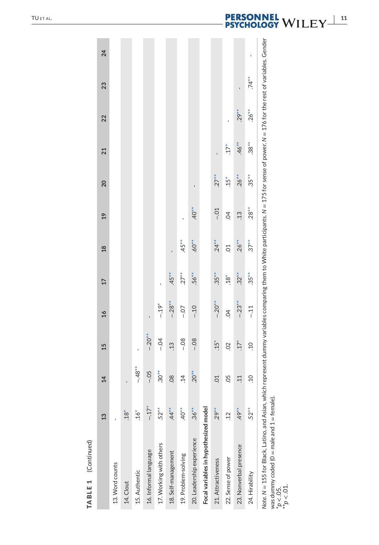| ŧ      |
|--------|
|        |
|        |
| ı      |
|        |
|        |
|        |
|        |
|        |
| г<br>г |
|        |
|        |
|        |
|        |
|        |

| TABLE 1 (Continued)                                                                                                        |            |                 |                |               |          |                |                |                |            |          |                                                                                                                                       |    |
|----------------------------------------------------------------------------------------------------------------------------|------------|-----------------|----------------|---------------|----------|----------------|----------------|----------------|------------|----------|---------------------------------------------------------------------------------------------------------------------------------------|----|
|                                                                                                                            | 13         | $\overline{4}$  | 15             | $\frac{1}{6}$ | 17       | $\frac{8}{2}$  | $^{29}$        | 20             | 21         | 22       | 23                                                                                                                                    | 24 |
| 13. Word counts                                                                                                            |            |                 |                |               |          |                |                |                |            |          |                                                                                                                                       |    |
| 14. Clout                                                                                                                  | $18*$      | ı               |                |               |          |                |                |                |            |          |                                                                                                                                       |    |
| 15. Authentic                                                                                                              | $16*$      | $-48**$         | ï              |               |          |                |                |                |            |          |                                                                                                                                       |    |
| 16. Informal language                                                                                                      | $-17*$     | $-0.5$          | $-0.20**$      | ï             |          |                |                |                |            |          |                                                                                                                                       |    |
| 17. Working with others                                                                                                    | $.52**$    | $.30*$          | $-0.4$         | $-19*$        |          |                |                |                |            |          |                                                                                                                                       |    |
| 18. Self-management                                                                                                        | 44         | 08              | $\frac{13}{2}$ | $-28**$       | $.45***$ | ï              |                |                |            |          |                                                                                                                                       |    |
| 19. Problem-solving                                                                                                        | $40*$      | $\ddot{1}4$     | $-08$          | $-0-$         | $.27**$  | $.45**$        |                |                |            |          |                                                                                                                                       |    |
| 20. Leadership experience                                                                                                  | $.36**$    | $20^{**}$       | $-08$          | $-.10$        | $.56**$  | $60^{**}$      | $40**$         | $\blacksquare$ |            |          |                                                                                                                                       |    |
| Focal variables in hypothesized model                                                                                      |            |                 |                |               |          |                |                |                |            |          |                                                                                                                                       |    |
| 21. Attractiveness                                                                                                         | $29**$     | $\overline{C}$  | $.15*$         | $-20**$       | $.35***$ | $.24***$       | $-0.1$         | $.27***$       |            |          |                                                                                                                                       |    |
| 22. Sense of power                                                                                                         | $\ddot{c}$ | 05              | $\overline{S}$ | S             | $18*$    | S <sub>O</sub> | $\overline{5}$ | $15*$          | $17*$      | ï        |                                                                                                                                       |    |
| 23. Nonverbal presence                                                                                                     | $49**$     | $\overline{11}$ | $17*$          | $-.23**$      | $.32**$  | $.26***$       | $\ddot{.}13$   | $.26***$       | $46**$     | $.29***$ |                                                                                                                                       |    |
| 24. Hirability                                                                                                             | $.52**$    | .10             | $\overline{c}$ | $-11$         | $.35**$  | $.37**$        | $.28^{**}$     | $.35**$        | $.38^{**}$ | $.26***$ | $.74**$                                                                                                                               |    |
| Note. N = 155 for Black, Latino, and Asian, which<br>was dummy coded (0 = male and 1 = female).<br>*p < .05.<br>**p < .01. |            |                 |                |               |          |                |                |                |            |          | represent dummy variables comparing them to White participants. N = 175 for sense of power. N = 176 for the rest of variables. Gender |    |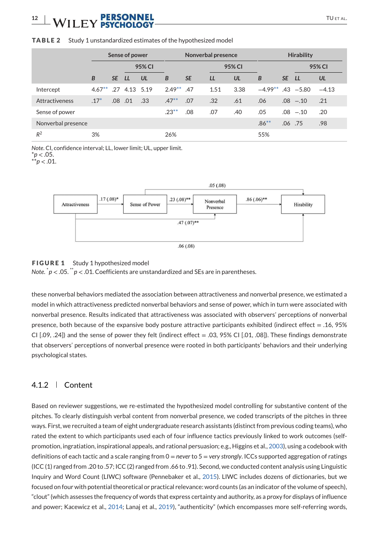# **12** WII FY **PERSONNEL** TUETAL.

#### TABLE 2 Study 1 unstandardized estimates of the hypothesized model

|                    |                         |                  | Sense of power |        |               |           | Nonverbal presence |        |                       |       | <b>Hirability</b> |         |
|--------------------|-------------------------|------------------|----------------|--------|---------------|-----------|--------------------|--------|-----------------------|-------|-------------------|---------|
|                    |                         |                  |                | 95% CI |               |           |                    | 95% CI |                       |       |                   | 95% CI  |
|                    | B                       | SE LL            |                | UL     | B             | <b>SE</b> | LL                 | UL     | B                     | SE LL |                   | UL      |
| Intercept          | $4.67***$ .27 4.13 5.19 |                  |                |        | $2.49***$ .47 |           | 1.51               | 3.38   | $-4.99**$ .43 $-5.80$ |       |                   | $-4.13$ |
| Attractiveness     | $.17*$                  | .08 <sub>0</sub> | .01            | .33    | $.47**$       | .07       | .32                | .61    | .06                   |       | $.08 - .10$       | .21     |
| Sense of power     |                         |                  |                |        | $.23**$       | .08       | .07                | .40    | .05                   |       | $.08 - .10$       | .20     |
| Nonverbal presence |                         |                  |                |        |               |           |                    |        | $.86***$              |       | $.06$ .75         | .98     |
| $R^2$              | 3%                      |                  |                |        | 26%           |           |                    |        | 55%                   |       |                   |         |

*Note*. CI, confidence interval; LL, lower limit; UL, upper limit.  $*$ *p*  $< .05$ .

\*\**p* < .01.



#### FIGURE 1 Study 1 hypothesized model

*Note*. \**p* < .05. \*\**p* < .01. Coefficients are unstandardized and SEs are in parentheses.

these nonverbal behaviors mediated the association between attractiveness and nonverbal presence, we estimated a model in which attractiveness predicted nonverbal behaviors and sense of power, which in turn were associated with nonverbal presence. Results indicated that attractiveness was associated with observers' perceptions of nonverbal presence, both because of the expansive body posture attractive participants exhibited (indirect effect = .16, 95% CI  $[0.09, 0.24]$  and the sense of power they felt (indirect effect = .03, 95% CI  $[0.01, 0.08]$ ). These findings demonstrate that observers' perceptions of nonverbal presence were rooted in both participants' behaviors and their underlying psychological states.

### 4.1.2 Content

Based on reviewer suggestions, we re-estimated the hypothesized model controlling for substantive content of the pitches. To clearly distinguish verbal content from nonverbal presence, we coded transcripts of the pitches in three ways. First, we recruited a team of eight undergraduate research assistants (distinct from previous coding teams), who rated the extent to which participants used each of four influence tactics previously linked to work outcomes (selfpromotion, ingratiation, inspirational appeals, and rational persuasion; e.g., Higgins et al., 2003), using a codebook with definitions of each tactic and a scale ranging from 0 = *never* to 5 = *very strongly*. ICCs supported aggregation of ratings (ICC (1) ranged from .20 to .57; ICC (2) ranged from .66 to .91). Second, we conducted content analysis using Linguistic Inquiry and Word Count (LIWC) software (Pennebaker et al., 2015). LIWC includes dozens of dictionaries, but we focused on four with potential theoretical or practical relevance: word counts (as an indicator of the volume of speech), "clout" (which assesses the frequency of words that express certainty and authority, as a proxy for displays of influence and power; Kacewicz et al., 2014; Lanaj et al., 2019), "authenticity" (which encompasses more self-referring words,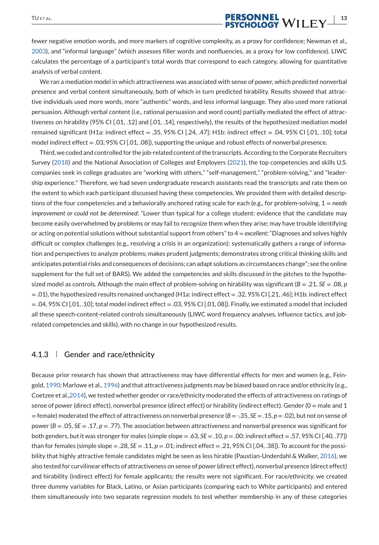# **TUETAL. PERSONNEL**<br>**PERSONNEL**<br>**PSYCHOLOGY** WILEY  $\frac{1}{3}$

fewer negative emotion words, and more markers of cognitive complexity, as a proxy for confidence; Newman et al., 2003), and "informal language" (which assesses filler words and nonfluencies, as a proxy for low confidence). LIWC calculates the percentage of a participant's total words that correspond to each category, allowing for quantitative analysis of verbal content.

We ran a mediation model in which attractiveness was associated with sense of power, which predicted nonverbal presence and verbal content simultaneously, both of which in turn predicted hirability. Results showed that attractive individuals used more words, more "authentic" words, and less informal language. They also used more rational persuasion. Although verbal content (i.e., rational persuasion and word count) partially mediated the effect of attractiveness on hirability (95% CI [.01, .12] and [.01, .14], respectively), the results of the hypothesized mediation model remained significant (H1a: indirect effect = .35, 95% CI [.24, .47]; H1b: indirect effect = .04, 95% CI [.01, .10]; total model indirect effect = .03, 95% CI [.01, .08]), supporting the unique and robust effects of nonverbal presence.

Third, we coded and controlled for the job-related content of the transcripts. According to the Corporate Recruiters Survey (2018) and the National Association of Colleges and Employers (2021), the top competencies and skills U.S. companies seek in college graduates are "working with others," "self-management," "problem-solving," and "leadership experience." Therefore, we had seven undergraduate research assistants read the transcripts and rate them on the extent to which each participant discussed having these competencies. We provided them with detailed descriptions of the four competencies and a behaviorally anchored rating scale for each (e.g., for problem-solving, 1 = *needs improvement or could not be determined*: "Lower than typical for a college student: evidence that the candidate may become easily overwhelmed by problems or may fail to recognize them when they arise; may have trouble identifying or acting on potential solutions without substantial support from others" to 4 = *excellent*: "Diagnoses and solves highly difficult or complex challenges (e.g., resolving a crisis in an organization); systematically gathers a range of information and perspectives to analyze problems; makes prudent judgments; demonstrates strong critical thinking skills and anticipates potential risks and consequences of decisions; can adapt solutions as circumstances change"; see the online supplement for the full set of BARS). We added the competencies and skills discussed in the pitches to the hypothesized model as controls. Although the main effect of problem-solving on hirability was significant (*B* = .21, *SE* = .08, *p*  $=$  .01), the hypothesized results remained unchanged (H1a: indirect effect  $=$  .32, 95% CI [.21, .46]; H1b: indirect effect  $= .04, 95\%$  CI  $[.01, .10]$ ; total model indirect effect  $= .03, 95\%$  CI  $[.01, 08]$ ). Finally, we estimated a model that included all these speech-content-related controls simultaneously (LIWC word frequency analyses, influence tactics, and jobrelated competencies and skills), with no change in our hypothesized results.

### 4.1.3 Gender and race/ethnicity

Because prior research has shown that attractiveness may have differential effects for men and women (e.g., Feingold, 1990; Marlowe et al., 1996) and that attractiveness judgments may be biased based on race and/or ethnicity (e.g., Coetzee et al.,2014), we tested whether gender or race/ethnicity moderated the effects of attractiveness on ratings of sense of power (direct effect), nonverbal presence (direct effect) or hirability (indirect effect). Gender (0 = male and 1 = female) moderated the effect of attractiveness on nonverbal presence (*B* = -.35, *SE* = .15, *p* = .02), but not on sense of power (*B* = .05, *SE* = .17, *p* = .77). The association between attractiveness and nonverbal presence was significant for both genders, but it was stronger for males (simple slope = .63, *SE* = .10, *p* = .00; indirect effect = .57, 95% CI [.40, .77]) than for females (simple slope = .28, *SE* = .11, *p* = .01; indirect effect = .21, 95% CI [.04, .38]). To account for the possibility that highly attractive female candidates might be seen as less hirable (Paustian-Underdahl & Walker, 2016), we also tested for curvilinear effects of attractiveness on sense of power (direct effect), nonverbal presence (direct effect) and hirability (indirect effect) for female applicants; the results were not significant. For race/ethnicity, we created three dummy variables for Black, Latino, or Asian participants (comparing each to White participants) and entered them simultaneously into two separate regression models to test whether membership in any of these categories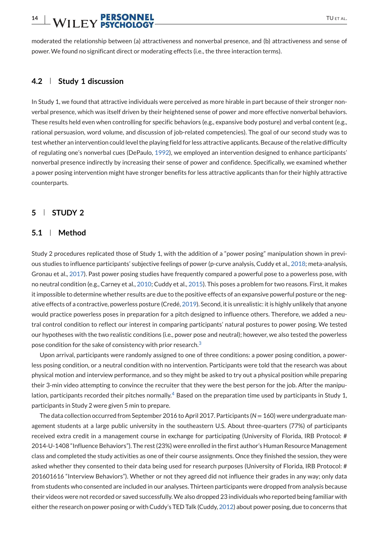# **14 | WILEY PERSONNEL** TUETAL.

moderated the relationship between (a) attractiveness and nonverbal presence, and (b) attractiveness and sense of power. We found no significant direct or moderating effects (i.e., the three interaction terms).

### **4.2 Study 1 discussion**

In Study 1, we found that attractive individuals were perceived as more hirable in part because of their stronger nonverbal presence, which was itself driven by their heightened sense of power and more effective nonverbal behaviors. These results held even when controlling for specific behaviors (e.g., expansive body posture) and verbal content (e.g., rational persuasion, word volume, and discussion of job-related competencies). The goal of our second study was to test whether an intervention could level the playing field for less attractive applicants. Because of the relative difficulty of regulating one's nonverbal cues (DePaulo, 1992), we employed an intervention designed to enhance participants' nonverbal presence indirectly by increasing their sense of power and confidence. Specifically, we examined whether a power posing intervention might have stronger benefits for less attractive applicants than for their highly attractive counterparts.

### **5 STUDY 2**

#### **5.1 Method**

Study 2 procedures replicated those of Study 1, with the addition of a "power posing" manipulation shown in previous studies to influence participants' subjective feelings of power (p-curve analysis, Cuddy et al., 2018; meta-analysis, Gronau et al., 2017). Past power posing studies have frequently compared a powerful pose to a powerless pose, with no neutral condition (e.g., Carney et al., 2010; Cuddy et al., 2015). This poses a problem for two reasons. First, it makes it impossible to determine whether results are due to the positive effects of an expansive powerful posture or the negative effects of a contractive, powerless posture (Credé, 2019). Second, it is unrealistic: it is highly unlikely that anyone would practice powerless poses in preparation for a pitch designed to influence others. Therefore, we added a neutral control condition to reflect our interest in comparing participants' natural postures to power posing. We tested our hypotheses with the two realistic conditions (i.e., power pose and neutral); however, we also tested the powerless pose condition for the sake of consistency with prior research.<sup>3</sup>

Upon arrival, participants were randomly assigned to one of three conditions: a power posing condition, a powerless posing condition, or a neutral condition with no intervention. Participants were told that the research was about physical motion and interview performance, and so they might be asked to try out a physical position while preparing their 3-min video attempting to convince the recruiter that they were the best person for the job. After the manipulation, participants recorded their pitches normally.<sup>4</sup> Based on the preparation time used by participants in Study 1, participants in Study 2 were given 5 min to prepare.

The data collection occurred from September 2016 to April 2017. Participants (*N* = 160) were undergraduate management students at a large public university in the southeastern U.S. About three-quarters (77%) of participants received extra credit in a management course in exchange for participating (University of Florida, IRB Protocol: # 2014-U-1408 "Influence Behaviors"). The rest (23%) were enrolled in the first author's Human Resource Management class and completed the study activities as one of their course assignments. Once they finished the session, they were asked whether they consented to their data being used for research purposes (University of Florida, IRB Protocol: # 201601616 "Interview Behaviors"). Whether or not they agreed did not influence their grades in any way; only data from students who consented are included in our analyses. Thirteen participants were dropped from analysis because their videos were not recorded or saved successfully.We also dropped 23 individuals who reported being familiar with either the research on power posing or with Cuddy's TED Talk (Cuddy, 2012) about power posing, due to concerns that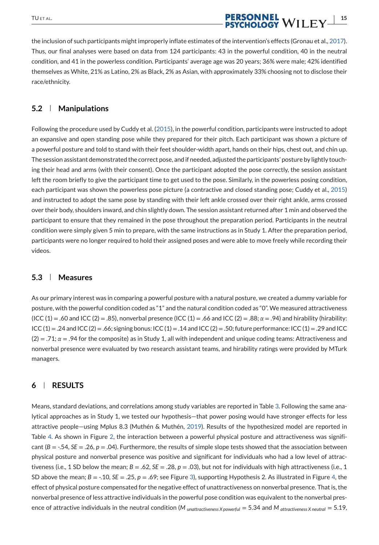# TUET AL. **INCOLUTE PERSONNEL**<br>**INCOLUTE PERSONNEL**<br>**PSYCHOLOGY** WILEY

the inclusion of such participants might improperly inflate estimates of the intervention's effects (Gronau et al., 2017). Thus, our final analyses were based on data from 124 participants: 43 in the powerful condition, 40 in the neutral condition, and 41 in the powerless condition. Participants' average age was 20 years; 36% were male; 42% identified themselves as White, 21% as Latino, 2% as Black, 2% as Asian, with approximately 33% choosing not to disclose their race/ethnicity.

### **5.2 Manipulations**

Following the procedure used by Cuddy et al. (2015), in the powerful condition, participants were instructed to adopt an expansive and open standing pose while they prepared for their pitch. Each participant was shown a picture of a powerful posture and told to stand with their feet shoulder-width apart, hands on their hips, chest out, and chin up. The session assistant demonstrated the correct pose, and if needed, adjusted the participants' posture by lightly touching their head and arms (with their consent). Once the participant adopted the pose correctly, the session assistant left the room briefly to give the participant time to get used to the pose. Similarly, in the powerless posing condition, each participant was shown the powerless pose picture (a contractive and closed standing pose; Cuddy et al., 2015) and instructed to adopt the same pose by standing with their left ankle crossed over their right ankle, arms crossed over their body, shoulders inward, and chin slightly down. The session assistant returned after 1 min and observed the participant to ensure that they remained in the pose throughout the preparation period. Participants in the neutral condition were simply given 5 min to prepare, with the same instructions as in Study 1. After the preparation period, participants were no longer required to hold their assigned poses and were able to move freely while recording their videos.

#### **5.3 Measures**

As our primary interest was in comparing a powerful posture with a natural posture, we created a dummy variable for posture, with the powerful condition coded as "1" and the natural condition coded as "0". We measured attractiveness (ICC (1) = .60 and ICC (2) = .85), nonverbal presence (ICC (1) = .66 and ICC (2) = .88; *α* = .94) and hirability (hirability:  $ICC(1) = .24$  and  $ICC(2) = .66$ ; signing bonus:  $ICC(1) = .14$  and  $ICC(2) = .50$ ; future performance:  $ICC(1) = .29$  and  $ICC$ (2) = .71; *α* = .94 for the composite) as in Study 1, all with independent and unique coding teams: Attractiveness and nonverbal presence were evaluated by two research assistant teams, and hirability ratings were provided by MTurk managers.

### **6 RESULTS**

Means, standard deviations, and correlations among study variables are reported in Table 3. Following the same analytical approaches as in Study 1, we tested our hypothesis—that power posing would have stronger effects for less attractive people—using Mplus 8.3 (Muthén & Muthén, 2019). Results of the hypothesized model are reported in Table 4. As shown in Figure 2, the interaction between a powerful physical posture and attractiveness was significant (*B* = -.54, *SE* = .26, *p* = .04). Furthermore, the results of simple slope tests showed that the association between physical posture and nonverbal presence was positive and significant for individuals who had a low level of attractiveness (i.e., 1 SD below the mean;  $B = .62$ ,  $SE = .28$ ,  $p = .03$ ), but not for individuals with high attractiveness (i.e., 1 SD above the mean;  $B = -10$ ,  $SE = 0.25$ ,  $p = 0.69$ ; see Figure 3), supporting Hypothesis 2. As illustrated in Figure 4, the effect of physical posture compensated for the negative effect of unattractiveness on nonverbal presence. That is, the nonverbal presence of less attractive individuals in the powerful pose condition was equivalent to the nonverbal presence of attractive individuals in the neutral condition (*M unattractiveness X powerful* = 5.34 and *M attractiveness X neutral* = 5.19,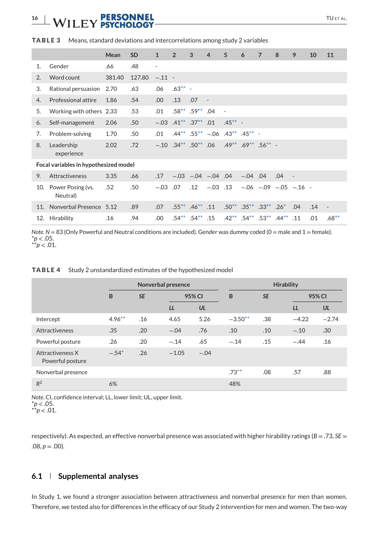# **16 | WILEY PERSONNEL** TUETAL.

|                |                                       | Mean   | <b>SD</b> | $\mathbf{1}$ | $\overline{2}$              | 3              | $\overline{4}$           | 5                        | 6              | $\overline{7}$                                 | 8       | 9                                | 10  | 11                       |
|----------------|---------------------------------------|--------|-----------|--------------|-----------------------------|----------------|--------------------------|--------------------------|----------------|------------------------------------------------|---------|----------------------------------|-----|--------------------------|
| 1 <sup>1</sup> | Gender                                | .66    | .48       | ٠            |                             |                |                          |                          |                |                                                |         |                                  |     |                          |
| 2 <sub>1</sub> | Word count                            | 381.40 | 127.80    | $-.11 -$     |                             |                |                          |                          |                |                                                |         |                                  |     |                          |
| 3.             | Rational persuasion                   | 2.70   | .63       | .06          | $.63***$ -                  |                |                          |                          |                |                                                |         |                                  |     |                          |
| 4.             | Professional attire                   | 1.86   | .54       | .00          | .13                         | .07            | $\overline{\phantom{a}}$ |                          |                |                                                |         |                                  |     |                          |
| 5.             | Working with others 2.33              |        | .53       | .01          |                             | $.58***$ .59** | .04                      | $\overline{\phantom{a}}$ |                |                                                |         |                                  |     |                          |
| 6.             | Self-management                       | 2.06   | .50       |              | $-.03$ $.41***$ $.37**$ .01 |                |                          | $.45***$ -               |                |                                                |         |                                  |     |                          |
| 7.             | Problem-solving                       | 1.70   | .50       | .01          |                             |                | $.44***$ .55** $-.06$    | $.43***$ $.45***$ -      |                |                                                |         |                                  |     |                          |
| 8.             | Leadership<br>experience              | 2.02   | .72       |              | $-.10$ $.34***$ $.50**$ 06  |                |                          |                          |                | $.49***$ .69 <sup>**</sup> .56 <sup>**</sup> - |         |                                  |     |                          |
|                | Focal variables in hypothesized model |        |           |              |                             |                |                          |                          |                |                                                |         |                                  |     |                          |
| 9.             | Attractiveness                        | 3.35   | .66       | .17          |                             |                | $-.03$ $-.04$ $-.04$ .04 |                          | $-.04$ .04     |                                                | .04     | $\sim$                           |     |                          |
| 10.            | Power Posing (vs.<br>Neutral)         | .52    | .50       | $-.03$       | .07                         | .12            | $-.03$ .13               |                          |                |                                                |         | $-.06$ $-.09$ $-.05$ $-.16$ $-.$ |     |                          |
| 11.            | Nonverbal Presence 5.12               |        | .89       | .07          |                             | $.55***$ .46** | .11                      |                          |                | $.50^{**}$ $.35^{**}$ $.33^{**}$               | $.26*$  | .04                              | .14 | $\overline{\phantom{a}}$ |
| 12.            | Hirability                            | .16    | .94       | .00          |                             | $.54***$ .54** | .15                      | $.42***$                 | $.54***$ .53** |                                                | $44***$ | .11                              | .01 | $.68***$                 |

#### TABLE 3 Means, standard deviations and intercorrelations among study 2 variables

*Note*.  $N = 83$  (Only Powerful and Neutral conditions are included). Gender was dummy coded (0 = male and 1 = female).  $*p$  < .05.  $*^{*}p$  < .01.

#### TABLE 4 Study 2 unstandardized estimates of the hypothesized model

|                                      |           | Nonverbal presence |         |        |           | <b>Hirability</b> |         |         |
|--------------------------------------|-----------|--------------------|---------|--------|-----------|-------------------|---------|---------|
|                                      | B         | <b>SE</b>          | 95% CI  |        | B         | <b>SE</b>         | 95% CI  |         |
|                                      |           |                    | LL      | UL     |           |                   | LL      | UL      |
| Intercept                            | $4.96***$ | .16                | 4.65    | 5.26   | $-3.50**$ | .38               | $-4.22$ | $-2.74$ |
| <b>Attractiveness</b>                | .35       | .20                | $-.04$  | .76    | .10       | .10               | $-.10$  | .30     |
| Powerful posture                     | .26       | .20                | $-.14$  | .65    | $-.14$    | .15               | $-.44$  | .16     |
| Attractiveness X<br>Powerful posture | $-.54*$   | .26                | $-1.05$ | $-.04$ |           |                   |         |         |
| Nonverbal presence                   |           |                    |         |        | $.73***$  | .08               | .57     | .88     |
| $R^2$                                | 6%        |                    |         |        | 48%       |                   |         |         |

*Note*. CI, confidence interval; LL, lower limit; UL, upper limit. \**p* < .05.

\*\**p* < .01.

respectively). As expected, an effective nonverbal presence was associated with higher hirability ratings (*B* = .73, *SE* =  $.08, p = .00$ ).

### **6.1 Supplemental analyses**

In Study 1, we found a stronger association between attractiveness and nonverbal presence for men than women. Therefore, we tested also for differences in the efficacy of our Study 2 intervention for men and women. The two-way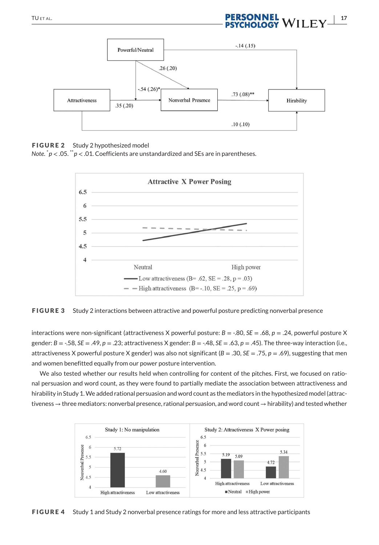# TUETAL. **IPERSONNEL**<br>**IPERSONNEL**<br>**PSYCHOLOGY** WILEY



FIGURE 2 Study 2 hypothesized model

*Note*. \**p* < .05. \*\**p* < .01. Coefficients are unstandardized and SEs are in parentheses.



FIGURE 3 Study 2 interactions between attractive and powerful posture predicting nonverbal presence

interactions were non-significant (attractiveness X powerful posture: *B* = -.80, *SE* = .68, *p* = .24, powerful posture X gender: *B* = -.58, *SE* = .49, *p* = .23; attractiveness X gender: *B* = -.48, *SE* = .63, *p* = .45). The three-way interaction (i.e., attractiveness X powerful posture X gender) was also not significant (*B* = .30, *SE* = .75, *p* = .69), suggesting that men and women benefitted equally from our power posture intervention.

We also tested whether our results held when controlling for content of the pitches. First, we focused on rational persuasion and word count, as they were found to partially mediate the association between attractiveness and hirability in Study 1.We added rational persuasion and word count as the mediators in the hypothesized model (attractiveness → three mediators: nonverbal presence, rational persuasion, and word count → hirability) and tested whether



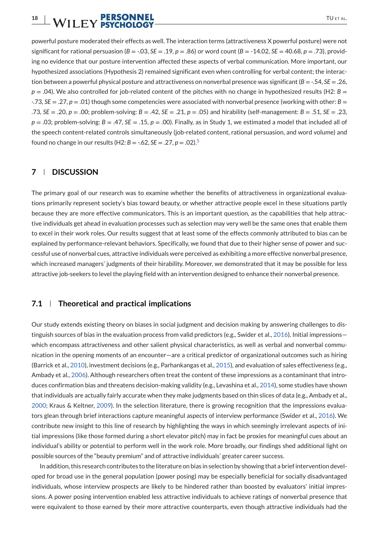powerful posture moderated their effects as well. The interaction terms (attractiveness X powerful posture) were not significant for rational persuasion (*B* = -.03, *SE* = .19, *p* = .86) or word count (*B* = -14.02, *SE* = 40.68, *p* = .73), providing no evidence that our posture intervention affected these aspects of verbal communication. More important, our hypothesized associations (Hypothesis 2) remained significant even when controlling for verbal content; the interaction between a powerful physical posture and attractiveness on nonverbal presence was significant (*B* = -.54, *SE* = .26,  $p = .04$ ). We also controlled for job-related content of the pitches with no change in hypothesized results (H2:  $B =$ -.73, *SE* = .27, *p* = .01) though some competencies were associated with nonverbal presence (working with other: *B* = .73, *SE* = .20, *p* = .00; problem-solving: *B* = .42, *SE* = .21, *p* = .05) and hirability (self-management: *B* = .51, *SE* = .23,  $p = .03$ ; problem-solving:  $B = .47$ ,  $SE = .15$ ,  $p = .00$ ). Finally, as in Study 1, we estimated a model that included all of the speech content-related controls simultaneously (job-related content, rational persuasion, and word volume) and found no change in our results (H2: *B* = -.62, *SE* = .27, *p* = .02).<sup>5</sup>

### **7 DISCUSSION**

The primary goal of our research was to examine whether the benefits of attractiveness in organizational evaluations primarily represent society's bias toward beauty, or whether attractive people excel in these situations partly because they are more effective communicators. This is an important question, as the capabilities that help attractive individuals get ahead in evaluation processes such as selection may very well be the same ones that enable them to excel in their work roles. Our results suggest that at least some of the effects commonly attributed to bias can be explained by performance-relevant behaviors. Specifically, we found that due to their higher sense of power and successful use of nonverbal cues, attractive individuals were perceived as exhibiting a more effective nonverbal presence, which increased managers' judgments of their hirability. Moreover, we demonstrated that it may be possible for less attractive job-seekers to level the playing field with an intervention designed to enhance their nonverbal presence.

### **7.1 Theoretical and practical implications**

Our study extends existing theory on biases in social judgment and decision making by answering challenges to distinguish sources of bias in the evaluation process from valid predictors (e.g., Swider et al., 2016). Initial impressionswhich encompass attractiveness and other salient physical characteristics, as well as verbal and nonverbal communication in the opening moments of an encounter—are a critical predictor of organizational outcomes such as hiring (Barrick et al., 2010), investment decisions (e.g., Parhankangas et al., 2015), and evaluation of sales effectiveness (e.g., Ambady et al., 2006). Although researchers often treat the content of these impressions as a contaminant that introduces confirmation bias and threatens decision-making validity (e.g., Levashina et al., 2014), some studies have shown that individuals are actually fairly accurate when they make judgments based on thin slices of data (e.g., Ambady et al., 2000; Kraus & Keltner, 2009). In the selection literature, there is growing recognition that the impressions evaluators glean through brief interactions capture meaningful aspects of interview performance (Swider et al., 2016). We contribute new insight to this line of research by highlighting the ways in which seemingly irrelevant aspects of initial impressions (like those formed during a short elevator pitch) may in fact be proxies for meaningful cues about an individual's ability or potential to perform well in the work role. More broadly, our findings shed additional light on possible sources of the "beauty premium" and of attractive individuals' greater career success.

In addition, this research contributes to the literature on bias in selection by showing that a brief intervention developed for broad use in the general population (power posing) may be especially beneficial for socially disadvantaged individuals, whose interview prospects are likely to be hindered rather than boosted by evaluators' initial impressions. A power posing intervention enabled less attractive individuals to achieve ratings of nonverbal presence that were equivalent to those earned by their more attractive counterparts, even though attractive individuals had the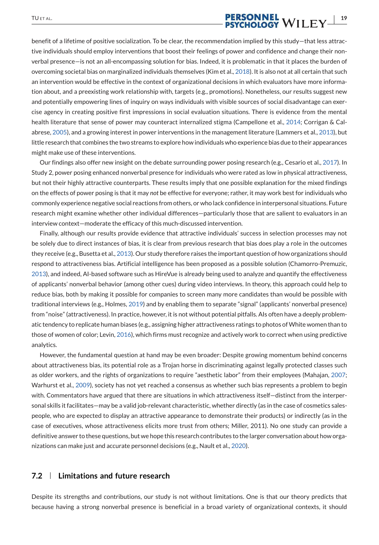# **TUETAL. PERSONNEL**<br>**PERSONNEL**<br>**PSYCHOLOGY** WILEY  $\frac{19}{2}$

benefit of a lifetime of positive socialization. To be clear, the recommendation implied by this study—that less attractive individuals should employ interventions that boost their feelings of power and confidence and change their nonverbal presence—is not an all-encompassing solution for bias. Indeed, it is problematic in that it places the burden of overcoming societal bias on marginalized individuals themselves (Kim et al., 2018). It is also not at all certain that such an intervention would be effective in the context of organizational decisions in which evaluators have more information about, and a preexisting work relationship with, targets (e.g., promotions). Nonetheless, our results suggest new and potentially empowering lines of inquiry on ways individuals with visible sources of social disadvantage can exercise agency in creating positive first impressions in social evaluation situations. There is evidence from the mental health literature that sense of power may counteract internalized stigma (Campellone et al., 2014; Corrigan & Calabrese, 2005), and a growing interest in power interventions in the management literature (Lammers et al., 2013), but little research that combines the two streams to explore how individuals who experience bias due to their appearances might make use of these interventions.

Our findings also offer new insight on the debate surrounding power posing research (e.g., Cesario et al., 2017). In Study 2, power posing enhanced nonverbal presence for individuals who were rated as low in physical attractiveness, but not their highly attractive counterparts. These results imply that one possible explanation for the mixed findings on the effects of power posing is that it may *not* be effective for everyone; rather, it may work best for individuals who commonly experience negative social reactions from others, or who lack confidence in interpersonal situations. Future research might examine whether other individual differences—particularly those that are salient to evaluators in an interview context—moderate the efficacy of this much-discussed intervention.

Finally, although our results provide evidence that attractive individuals' success in selection processes may not be solely due to direct instances of bias, it is clear from previous research that bias does play a role in the outcomes they receive (e.g., Busetta et al., 2013). Our study therefore raises the important question of how organizations should respond to attractiveness bias. Artificial intelligence has been proposed as a possible solution (Chamorro-Premuzic, 2013), and indeed, AI-based software such as HireVue is already being used to analyze and quantify the effectiveness of applicants' nonverbal behavior (among other cues) during video interviews. In theory, this approach could help to reduce bias, both by making it possible for companies to screen many more candidates than would be possible with traditional interviews (e.g., Holmes, 2019) and by enabling them to separate "signal" (applicants' nonverbal presence) from "noise" (attractiveness). In practice, however, it is not without potential pitfalls. AIs often have a deeply problematic tendency to replicate human biases (e.g., assigning higher attractiveness ratings to photos ofWhite women than to those of women of color; Levin, 2016), which firms must recognize and actively work to correct when using predictive analytics.

However, the fundamental question at hand may be even broader: Despite growing momentum behind concerns about attractiveness bias, its potential role as a Trojan horse in discriminating against legally protected classes such as older workers, and the rights of organizations to require "aesthetic labor" from their employees (Mahajan, 2007; Warhurst et al., 2009), society has not yet reached a consensus as whether such bias represents a problem to begin with. Commentators have argued that there are situations in which attractiveness itself—distinct from the interpersonal skills it facilitates—may be a valid job-relevant characteristic, whether directly (as in the case of cosmetics salespeople, who are expected to display an attractive appearance to demonstrate their products) or indirectly (as in the case of executives, whose attractiveness elicits more trust from others; Miller, 2011). No one study can provide a definitive answer to these questions, but we hope this research contributes to the larger conversation about how organizations can make just and accurate personnel decisions (e.g., Nault et al., 2020).

### **7.2 Limitations and future research**

Despite its strengths and contributions, our study is not without limitations. One is that our theory predicts that because having a strong nonverbal presence is beneficial in a broad variety of organizational contexts, it should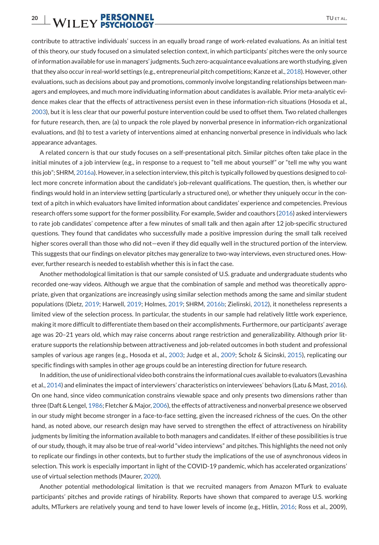# **20 | WILEY PERSONNEL** TUETAL.

contribute to attractive individuals' success in an equally broad range of work-related evaluations. As an initial test of this theory, our study focused on a simulated selection context, in which participants' pitches were the only source of information available for use in managers' judgments. Such zero-acquaintance evaluations are worth studying, given that they also occur in real-world settings (e.g., entrepreneurial pitch competitions; Kanze et al., 2018). However, other evaluations, such as decisions about pay and promotions, commonly involve longstanding relationships between managers and employees, and much more individuating information about candidates is available. Prior meta-analytic evidence makes clear that the effects of attractiveness persist even in these information-rich situations (Hosoda et al., 2003), but it is less clear that our powerful posture intervention could be used to offset them. Two related challenges for future research, then, are (a) to unpack the role played by nonverbal presence in information-rich organizational evaluations, and (b) to test a variety of interventions aimed at enhancing nonverbal presence in individuals who lack appearance advantages.

A related concern is that our study focuses on a self-presentational pitch. Similar pitches often take place in the initial minutes of a job interview (e.g., in response to a request to "tell me about yourself" or "tell me why you want this job"; SHRM, 2016a). However, in a selection interview, this pitch is typically followed by questions designed to collect more concrete information about the candidate's job-relevant qualifications. The question, then, is whether our findings would hold in an interview setting (particularly a structured one), or whether they uniquely occur in the context of a pitch in which evaluators have limited information about candidates' experience and competencies. Previous research offers some support for the former possibility. For example, Swider and coauthors (2016) asked interviewers to rate job candidates' competence after a few minutes of small talk and then again after 12 job-specific structured questions. They found that candidates who successfully made a positive impression during the small talk received higher scores overall than those who did not—even if they did equally well in the structured portion of the interview. This suggests that our findings on elevator pitches may generalize to two-way interviews, even structured ones. However, further research is needed to establish whether this is in fact the case.

Another methodological limitation is that our sample consisted of U.S. graduate and undergraduate students who recorded one-way videos. Although we argue that the combination of sample and method was theoretically appropriate, given that organizations are increasingly using similar selection methods among the same and similar student populations (Dietz, 2019; Harwell, 2019; Holmes, 2019; SHRM, 2016b; Zielinski, 2012), it nonetheless represents a limited view of the selection process. In particular, the students in our sample had relatively little work experience, making it more difficult to differentiate them based on their accomplishments. Furthermore, our participants' average age was 20–21 years old, which may raise concerns about range restriction and generalizability. Although prior literature supports the relationship between attractiveness and job-related outcomes in both student and professional samples of various age ranges (e.g., Hosoda et al., 2003; Judge et al., 2009; Scholz & Sicinski, 2015), replicating our specific findings with samples in other age groups could be an interesting direction for future research.

In addition, the use of unidirectional video both constrains the informational cues available to evaluators (Levashina et al., 2014) and eliminates the impact of interviewers' characteristics on interviewees' behaviors (Latu & Mast, 2016). On one hand, since video communication constrains viewable space and only presents two dimensions rather than three (Daft & Lengel, 1986; Fletcher & Major, 2006), the effects of attractiveness and nonverbal presence we observed in our study might become stronger in a face-to-face setting, given the increased richness of the cues. On the other hand, as noted above, our research design may have served to strengthen the effect of attractiveness on hirability judgments by limiting the information available to both managers and candidates. If either of these possibilities is true of our study, though, it may also be true of real-world "video interviews" and pitches. This highlights the need not only to replicate our findings in other contexts, but to further study the implications of the use of asynchronous videos in selection. This work is especially important in light of the COVID-19 pandemic, which has accelerated organizations' use of virtual selection methods (Maurer, 2020).

Another potential methodological limitation is that we recruited managers from Amazon MTurk to evaluate participants' pitches and provide ratings of hirability. Reports have shown that compared to average U.S. working adults, MTurkers are relatively young and tend to have lower levels of income (e.g., Hitlin, 2016; Ross et al., 2009),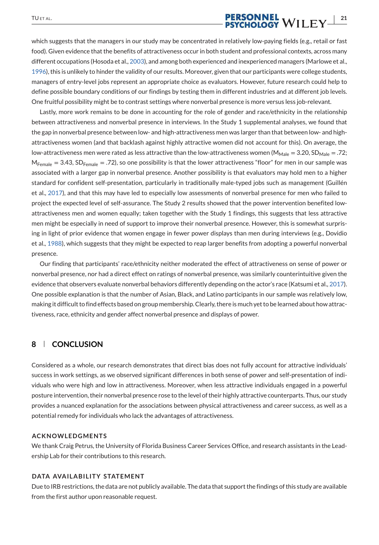# TUETAL. **PERSONNEL**<br>**PERSONNEL** WILEY  $\frac{|21|}{21}$

which suggests that the managers in our study may be concentrated in relatively low-paying fields (e.g., retail or fast food). Given evidence that the benefits of attractiveness occur in both student and professional contexts, across many different occupations (Hosoda et al., 2003), and among both experienced and inexperienced managers (Marlowe et al., 1996), this is unlikely to hinder the validity of our results. Moreover, given that our participants were college students, managers of entry-level jobs represent an appropriate choice as evaluators. However, future research could help to define possible boundary conditions of our findings by testing them in different industries and at different job levels. One fruitful possibility might be to contrast settings where nonverbal presence is more versus less job-relevant.

Lastly, more work remains to be done in accounting for the role of gender and race/ethnicity in the relationship between attractiveness and nonverbal presence in interviews. In the Study 1 supplemental analyses, we found that the gap in nonverbal presence between low- and high-attractiveness men was larger than that between low- and highattractiveness women (and that backlash against highly attractive women did not account for this). On average, the low-attractiveness men were rated as less attractive than the low-attractiveness women ( $M_{\text{Male}} = 3.20$ , SD<sub>Male</sub> = .72;  $M_{Female} = 3.43$ , SD<sub>Female</sub> = .72), so one possibility is that the lower attractiveness "floor" for men in our sample was associated with a larger gap in nonverbal presence. Another possibility is that evaluators may hold men to a higher standard for confident self-presentation, particularly in traditionally male-typed jobs such as management (Guillén et al., 2017), and that this may have led to especially low assessments of nonverbal presence for men who failed to project the expected level of self-assurance. The Study 2 results showed that the power intervention benefited lowattractiveness men and women equally; taken together with the Study 1 findings, this suggests that less attractive men might be especially in need of support to improve their nonverbal presence. However, this is somewhat surprising in light of prior evidence that women engage in fewer power displays than men during interviews (e.g., Dovidio et al., 1988), which suggests that they might be expected to reap larger benefits from adopting a powerful nonverbal presence.

Our finding that participants' race/ethnicity neither moderated the effect of attractiveness on sense of power or nonverbal presence, nor had a direct effect on ratings of nonverbal presence, was similarly counterintuitive given the evidence that observers evaluate nonverbal behaviors differently depending on the actor's race (Katsumi et al., 2017). One possible explanation is that the number of Asian, Black, and Latino participants in our sample was relatively low, making it difficult to find effects based on group membership. Clearly, there is much yet to be learned about how attractiveness, race, ethnicity and gender affect nonverbal presence and displays of power.

### **8 CONCLUSION**

Considered as a whole, our research demonstrates that direct bias does not fully account for attractive individuals' success in work settings, as we observed significant differences in both sense of power and self-presentation of individuals who were high and low in attractiveness. Moreover, when less attractive individuals engaged in a powerful posture intervention, their nonverbal presence rose to the level of their highly attractive counterparts. Thus, our study provides a nuanced explanation for the associations between physical attractiveness and career success, as well as a potential remedy for individuals who lack the advantages of attractiveness.

#### **ACKNOWLEDGMENTS**

We thank Craig Petrus, the University of Florida Business Career Services Office, and research assistants in the Leadership Lab for their contributions to this research.

#### **DATA AVAILABILITY STATEMENT**

Due to IRB restrictions, the data are not publicly available. The data that support the findings of this study are available from the first author upon reasonable request.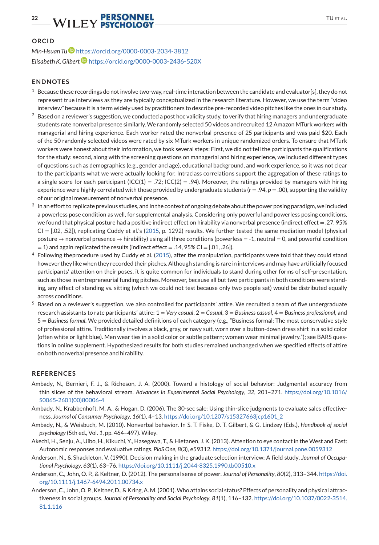# **22** WILEY PERSONNEL TUETAL.

#### **ORCID**

*Min-Hsuan Tu* https://orcid.org/0000-0003-2034-3812 *Elisabeth K. Gilbert* https://orcid.org/0000-0003-2436-520X

#### **ENDNOTES**

- <sup>1</sup> Because these recordings do not involve two-way, real-time interaction between the candidate and evaluator[s], they do not represent true interviews as they are typically conceptualized in the research literature. However, we use the term "video interview" because it is a term widely used by practitioners to describe pre-recorded video pitches like the ones in our study.
- $2$  Based on a reviewer's suggestion, we conducted a post hoc validity study, to verify that hiring managers and undergraduate students rate nonverbal presence similarly. We randomly selected 50 videos and recruited 12 Amazon MTurk workers with managerial and hiring experience. Each worker rated the nonverbal presence of 25 participants and was paid \$20. Each of the 50 randomly selected videos were rated by six MTurk workers in unique randomized orders. To ensure that MTurk workers were honest about their information, we took several steps: First, we did not tell the participants the qualifications for the study: second, along with the screening questions on managerial and hiring experience, we included different types of questions such as demographics (e.g., gender and age), educational background, and work experience, so it was not clear to the participants what we were actually looking for. Intraclass correlations support the aggregation of these ratings to a single score for each participant (ICC(1) = .72; ICC(2) = .94). Moreover, the ratings provided by managers with hiring experience were highly correlated with those provided by undergraduate students  $(r = .94, p = .00)$ , supporting the validity of our original measurement of nonverbal presence.
- 3 In an effort to replicate previous studies, and in the context of ongoing debate about the power posing paradigm, we included a powerless pose condition as well, for supplemental analysis. Considering only powerful and powerless posing conditions, we found that physical posture had a positive indirect effect on hirability via nonverbal presence (indirect effect = .27, 95%  $CI = [0.02, 0.52]$ , replicating Cuddy et al.'s (2015, p. 1292) results. We further tested the same mediation model (physical posture  $\rightarrow$  nonverbal presence  $\rightarrow$  hirability) using all three conditions (powerless = -1, neutral = 0, and powerful condition  $= 1$ ) and again replicated the results (indirect effect  $= .14, 95\%$  CI  $=$  [.01, .26]).
- <sup>4</sup> Following theprocedure used by Cuddy et al. (2015), after the manipulation, participants were told that they could stand however they like when they recorded their pitches. Although standing is rare in interviews and may have artificially focused participants' attention on their poses, it is quite common for individuals to stand during other forms of self-presentation, such as those in entrepreneurial funding pitches. Moreover, because all but two participants in both conditions were standing, any effect of standing vs. sitting (which we could not test because only two people sat) would be distributed equally across conditions.
- <sup>5</sup> Based on a reviewer's suggestion, we also controlled for participants' attire. We recruited a team of five undergraduate research assistants to rate participants' attire: 1 = *Very casual*, 2 = *Casual*, 3 = *Business casual*, 4 = *Business professional*, and 5 = *Business formal*. We provided detailed definitions of each category (e.g., "Business formal: The most conservative style of professional attire. Traditionally involves a black, gray, or navy suit, worn over a button-down dress shirt in a solid color (often white or light blue). Men wear ties in a solid color or subtle pattern; women wear minimal jewelry."); see BARS questions in online supplement. Hypothesized results for both studies remained unchanged when we specified effects of attire on both nonverbal presence and hirability.

#### **REFERENCES**

- Ambady, N., Bernieri, F. J., & Richeson, J. A. (2000). Toward a histology of social behavior: Judgmental accuracy from thin slices of the behavioral stream. *Advances in Experimental Social Psychology*, *32*, 201–271. https://doi.org/10.1016/ S0065-2601(00)80006-4
- Ambady, N., Krabbenhoft, M. A., & Hogan, D. (2006). The 30-sec sale: Using thin-slice judgments to evaluate sales effectiveness. *Journal of Consumer Psychology*, *16*(1), 4–13. https://doi.org/10.1207/s15327663jcp1601\_2
- Ambady, N., & Weisbuch, M. (2010). Nonverbal behavior. In S. T. Fiske, D. T. Gilbert, & G. Lindzey (Eds.), *Handbook of social psychology* (5th ed., Vol. *1*, pp. 464–497). Wiley.
- Akechi, H., Senju, A., Uibo, H., Kikuchi, Y., Hasegawa, T., & Hietanen, J. K. (2013). Attention to eye contact in the West and East: Autonomic responses and evaluative ratings. *PloS One*, *8*(3), e59312. https://doi.org/10.1371/journal.pone.0059312
- Anderson, N., & Shackleton, V. (1990). Decision making in the graduate selection interview: A field study. *Journal of Occupational Psychology*, *63*(1), 63–76. https://doi.org/10.1111/j.2044-8325.1990.tb00510.x
- Anderson, C., John, O. P., & Keltner, D. (2012). The personal sense of power. *Journal of Personality*, *80*(2), 313–344. https://doi. org/10.1111/j.1467-6494.2011.00734.x
- Anderson, C., John, O. P., Keltner, D., & Kring, A. M. (2001).Who attains social status? Effects of personality and physical attractiveness in social groups. *Journal of Personality and Social Psychology*, *81*(1), 116–132. https://doi.org/10.1037/0022-3514. 81.1.116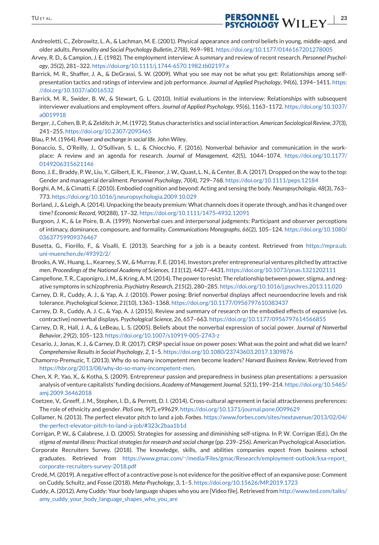

- Andreoletti, C., Zebrowitz, L. A., & Lachman, M. E. (2001). Physical appearance and control beliefs in young, middle-aged, and older adults. *Personality and Social Psychology Bulletin*, *27*(8), 969–981. https://doi.org/10.1177/0146167201278005
- Arvey, R. D., & Campion, J. E. (1982). The employment interview: A summary and review of recent research. *Personnel Psychology*, *35*(2), 281–322. https://doi.org/10.1111/j.1744-6570.1982.tb02197.x
- Barrick, M. R., Shaffer, J. A., & DeGrassi, S. W. (2009). What you see may not be what you get: Relationships among selfpresentation tactics and ratings of interview and job performance. *Journal of Applied Psychology*, *94*(6), 1394–1411. https: //doi.org/10.1037/a0016532
- Barrick, M. R., Swider, B. W., & Stewart, G. L. (2010). Initial evaluations in the interview: Relationships with subsequent interviewer evaluations and employment offers. *Journal of Applied Psychology*, *95*(6), 1163–1172. https://doi.org/10.1037/ a0019918
- Berger, J., Cohen, B. P., & Zelditch Jr,M. (1972). Status characteristics and social interaction.*American Sociological Review*, *37*(3), 241–255. https://doi.org/10.2307/2093465
- Blau, P. M. (1964). *Power and exchange in social life*. John Wiley.
- Bonaccio, S., O'Reilly, J., O'Sullivan, S. L., & Chiocchio, F. (2016). Nonverbal behavior and communication in the workplace: A review and an agenda for research. *Journal of Management*, *42*(5), 1044–1074. https://doi.org/10.1177/ 0149206315621146
- Bono, J. E., Braddy, P. W., Liu, Y., Gilbert, E. K., Fleenor, J. W., Quast, L. N., & Center, B. A. (2017). Dropped on the way to the top: Gender and managerial derailment. *Personnel Psychology*, *70*(4), 729–768. https://doi.org/10.1111/peps.12184
- Borghi, A. M., & Cimatti, F. (2010). Embodied cognition and beyond: Acting and sensing the body.*Neuropsychologia*, *48*(3), 763– 773. https://doi.org/10.1016/j.neuropsychologia.2009.10.029
- Borland, J., & Leigh, A. (2014). Unpacking the beauty premium:What channels does it operate through, and has it changed over time? *Economic Record*, *90*(288), 17–32. https://doi.org/10.1111/1475-4932.12091
- Burgoon, J. K., & Le Poire, B. A. (1999). Nonverbal cues and interpersonal judgments: Participant and observer perceptions of intimacy, dominance, composure, and formality. *Communications Monographs*, *66*(2), 105–124. https://doi.org/10.1080/ 03637759909376467
- Busetta, G., Fiorillo, F., & Visalli, E. (2013). Searching for a job is a beauty contest. Retrieved from https://mpra.ub. uni-muenchen.de/49392/2/
- Brooks, A. W., Huang, L., Kearney, S. W., & Murray, F. E. (2014). Investors prefer entrepreneurial ventures pitched by attractive men. *Proceedings of the National Academy of Sciences*, *111*(12), 4427–4431. https://doi.org/10.1073/pnas.1321202111
- Campellone, T. R., Caponigro, J.M., & Kring, A.M. (2014). The power to resist: The relationship between power, stigma, and negative symptoms in schizophrenia. *Psychiatry Research*, *215*(2), 280–285. https://doi.org/10.1016/j.psychres.2013.11.020
- Carney, D. R., Cuddy, A. J., & Yap, A. J. (2010). Power posing: Brief nonverbal displays affect neuroendocrine levels and risk tolerance. *Psychological Science*, *21*(10), 1363–1368. https://doi.org/10.1177/0956797610383437
- Carney, D. R., Cuddy, A. J. C., & Yap, A. J. (2015). Review and summary of research on the embodied effects of expansive (vs. contractive) nonverbal displays. *Psychological Science*, *26*, 657–663. https://doi.org/10.1177/0956797614566855
- Carney, D. R., Hall, J. A., & LeBeau, L. S. (2005). Beliefs about the nonverbal expression of social power. *Journal of Nonverbal Behavior*, *29*(2), 105–123. https://doi.org/10.1007/s10919-005-2743-z
- Cesario, J., Jonas, K. J., & Carney, D. R. (2017). CRSP special issue on power poses: What was the point and what did we learn? *Comprehensive Results in Social Psychology*, *2*, 1–5. https://doi.org/10.1080/23743603.2017.1309876
- Chamorro-Premuzic, T. (2013). Why do so many incompetent men become leaders? *Harvard Business Review*. Retrieved from https://hbr.org/2013/08/why-do-so-many-incompetent-men.
- Chen, X. P., Yao, X., & Kotha, S. (2009). Entrepreneur passion and preparedness in business plan presentations: a persuasion analysis of venture capitalists' funding decisions. *Academy of Management Journal*, *52*(1), 199–214. https://doi.org/10.5465/ amj.2009.36462018
- Coetzee, V., Greeff, J. M., Stephen, I. D., & Perrett, D. I. (2014). Cross-cultural agreement in facial attractiveness preferences: The role of ethnicity and gender. *PloS one*, *9*(7), e99629. https://doi.org/10.1371/journal.pone.0099629
- Collamer, N. (2013). The perfect elevator pitch to land a job. *Forbes*. https://www.forbes.com/sites/nextavenue/2013/02/04/ the-perfect-elevator-pitch-to-land-a-job/#323c2baa1b1d
- Corrigan, P. W., & Calabrese, J. D. (2005). Strategies for assessing and diminishing self-stigma. In P. W. Corrigan (Ed.), *On the stigma of mental illness: Practical strategies for research and social change* (pp. 239–256). American Psychological Association.
- Corporate Recruiters Survey. (2018). The knowledge, skills, and abilities companies expect from business school graduates. Retrieved from https://www.gmac.com/<sup>∼</sup>/media/Files/gmac/Research/employment-outlook/ksa-report\_ corporate-recruiters-survey-2018.pdf
- Credé, M. (2019). A negative effect of a contractive pose is not evidence for the positive effect of an expansive pose: Comment on Cuddy, Schultz, and Fosse (2018). *Meta-Psychology*, *3*, 1–5. https://doi.org/10.15626/MP.2019.1723
- Cuddy, A. (2012). Amy Cuddy: Your body language shapes who you are [Video file]. Retrieved from http://www.ted.com/talks/ amy\_cuddy\_your\_body\_language\_shapes\_who\_you\_are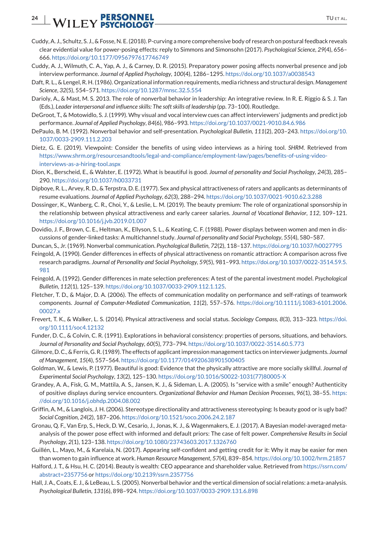# **24** WILEY PERSONNEL TUETAL.

- Cuddy, A. J., Schultz, S. J., & Fosse, N. E. (2018). P-curving a more comprehensive body of research on postural feedback reveals clear evidential value for power-posing effects: reply to Simmons and Simonsohn (2017). *Psychological Science*, *29*(4), 656– 666. https://doi.org/10.1177/0956797617746749
- Cuddy, A. J., Wilmuth, C. A., Yap, A. J., & Carney, D. R. (2015). Preparatory power posing affects nonverbal presence and job interview performance. *Journal of Applied Psychology*, *100*(4), 1286–1295. https://doi.org/10.1037/a0038543
- Daft, R. L., & Lengel, R. H. (1986). Organizational information requirements, media richness and structural design. *Management Science*, *32*(5), 554–571. https://doi.org/10.1287/mnsc.32.5.554
- Darioly, A., & Mast, M. S. 2013. The role of nonverbal behavior in leadership: An integrative review. In R. E. Riggio & S. J. Tan (Eds.), *Leader interpersonal and influence skills: The soft skills of leadership* (pp. 73–100). Routledge.
- DeGroot, T., & Motowidlo, S. J. (1999). Why visual and vocal interview cues can affect interviewers' judgments and predict job performance. *Journal of Applied Psychology*, *84*(6), 986–993. https://doi.org/10.1037/0021-9010.84.6.986
- DePaulo, B. M. (1992). Nonverbal behavior and self-presentation. *Psychological Bulletin*, *111*(2), 203–243. https://doi.org/10. 1037/0033-2909.111.2.203
- Dietz, G. E. (2019). Viewpoint: Consider the benefits of using video interviews as a hiring tool. *SHRM*. Retrieved from https://www.shrm.org/resourcesandtools/legal-and-compliance/employment-law/pages/benefits-of-using-videointerviews-as-a-hiring-tool.aspx
- Dion, K., Berscheid, E., & Walster, E. (1972). What is beautiful is good. *Journal of personality and Social Psychology*, *24*(3), 285– 290. https://doi.org/10.1037/h0033731
- Dipboye, R. L., Arvey, R. D., & Terpstra, D. E. (1977). Sex and physical attractiveness of raters and applicants as determinants of resume evaluations. *Journal of Applied Psychology*, *62*(3), 288–294. https://doi.org/10.1037/0021-9010.62.3.288
- Dossinger, K., Wanberg, C. R., Choi, Y., & Leslie, L. M. (2019). The beauty premium: The role of organizational sponsorship in the relationship between physical attractiveness and early career salaries. *Journal of Vocational Behavior*, *112*, 109–121. https://doi.org/10.1016/j.jvb.2019.01.007
- Dovidio, J. F., Brown, C. E., Heltman, K., Ellyson, S. L., & Keating, C. F. (1988). Power displays between women and men in discussions of gender-linked tasks: A multichannel study. *Journal of personality and Social Psychology*, *55*(4), 580–587.
- Duncan, S., Jr. (1969). Nonverbal communication. *Psychological Bulletin*, *72*(2), 118–137. https://doi.org/10.1037/h0027795
- Feingold, A. (1990). Gender differences in effects of physical attractiveness on romantic attraction: A comparison across five research paradigms. *Journal of Personality and Social Psychology*, *59*(5), 981–993. https://doi.org/10.1037/0022-3514.59.5. 981
- Feingold, A. (1992). Gender differences in mate selection preferences: A test of the parental investment model. *Psychological Bulletin*, *112*(1), 125–139. https://doi.org/10.1037/0033-2909.112.1.125.
- Fletcher, T. D., & Major, D. A. (2006). The effects of communication modality on performance and self-ratings of teamwork components. *Journal of Computer-Mediated Communication*, *11*(2), 557–576. https://doi.org/10.1111/j.1083-6101.2006. 00027.x
- Frevert, T. K., & Walker, L. S. (2014). Physical attractiveness and social status. *Sociology Compass*, *8*(3), 313–323. https://doi. org/10.1111/soc4.12132
- Funder, D. C., & Colvin, C. R. (1991). Explorations in behavioral consistency: properties of persons, situations, and behaviors. *Journal of Personality and Social Psychology*, *60*(5), 773–794. https://doi.org/10.1037/0022-3514.60.5.773
- Gilmore, D. C., & Ferris, G. R. (1989). The effects of applicant impression management tactics on interviewer judgments. *Journal of Management*, *15*(4), 557–564. https://doi.org/10.1177/014920638901500405
- Goldman, W., & Lewis, P. (1977). Beautiful is good: Evidence that the physically attractive are more socially skillful. *Journal of Experimental Social Psychology*, *13*(2), 125–130. https://doi.org/10.1016/S0022-1031(77)80005-X
- Grandey, A. A., Fisk, G. M., Mattila, A. S., Jansen, K. J., & Sideman, L. A. (2005). Is "service with a smile" enough? Authenticity of positive displays during service encounters. *Organizational Behavior and Human Decision Processes*, *96*(1), 38–55. https: //doi.org/10.1016/j.obhdp.2004.08.002
- Griffin, A. M., & Langlois, J. H. (2006). Stereotype directionality and attractiveness stereotyping: Is beauty good or is ugly bad? *Social Cognition*, *24*(2), 187–206. https://doi.org/10.1521/soco.2006.24.2.187
- Gronau, Q. F., Van Erp, S., Heck, D. W., Cesario, J., Jonas, K. J., & Wagenmakers, E. J. (2017). A Bayesian model-averaged metaanalysis of the power pose effect with informed and default priors: The case of felt power. *Comprehensive Results in Social Psychology*, *2*(1), 123–138. https://doi.org/10.1080/23743603.2017.1326760
- Guillén, L., Mayo, M., & Karelaia, N. (2017). Appearing self-confident and getting credit for it: Why it may be easier for men than women to gain influence at work. *Human Resource Management*, *57*(4), 839–854. https://doi.org/10.1002/hrm.21857
- Halford, J. T., & Hsu, H. C. (2014). Beauty is wealth: CEO appearance and shareholder value. Retrieved from https://ssrn.com/ abstract=2357756 or https://doi.org/10.2139/ssrn.2357756
- Hall, J. A., Coats, E. J., & LeBeau, L. S. (2005). Nonverbal behavior and the vertical dimension of social relations: a meta-analysis. *Psychological Bulletin*, *131*(6), 898–924. https://doi.org/10.1037/0033-2909.131.6.898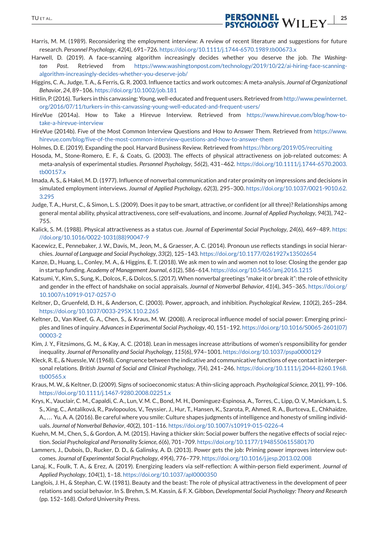

- Harris, M. M. (1989). Reconsidering the employment interview: A review of recent literature and suggestions for future research. *Personnel Psychology*, *42*(4), 691–726. https://doi.org/10.1111/j.1744-6570.1989.tb00673.x
- Harwell, D. (2019). A face-scanning algorithm increasingly decides whether you deserve the job. *The Washington Post*. Retrieved from https://www.washingtonpost.com/technology/2019/10/22/ai-hiring-face-scanningalgorithm-increasingly-decides-whether-you-deserve-job/
- Higgins, C. A., Judge, T. A., & Ferris, G. R. 2003. Influence tactics and work outcomes: A meta-analysis. *Journal of Organizational Behavior*, *24*, 89–106. https://doi.org/10.1002/job.181
- Hitlin, P. (2016). Turkers in this canvassing: Young, well-educated and frequent users. Retrieved from http://www.pewinternet. org/2016/07/11/turkers-in-this-canvassing-young-well-educated-and-frequent-users/
- HireVue (2014a). How to Take a Hirevue Interview. Retrieved from https://www.hirevue.com/blog/how-totake-a-hirevue-interview
- HireVue (2014b). Five of the Most Common Interview Questions and How to Answer Them. Retrieved from https://www. hirevue.com/blog/five-of-the-most-common-interview-questions-and-how-to-answer-them
- Holmes, D. E. (2019). Expanding the pool. Harvard Business Review. Retrieved from https://hbr.org/2019/05/recruiting
- Hosoda, M., Stone-Romero, E. F., & Coats, G. (2003). The effects of physical attractiveness on job-related outcomes: A meta-analysis of experimental studies. *Personnel Psychology*, *56*(2), 431–462. https://doi.org/10.1111/j.1744-6570.2003. tb00157.x
- Imada, A. S., & Hakel, M. D. (1977). Influence of nonverbal communication and rater proximity on impressions and decisions in simulated employment interviews. *Journal of Applied Psychology*, *62*(3), 295–300. https://doi.org/10.1037/0021-9010.62. 3.295
- Judge, T. A., Hurst, C., & Simon, L. S. (2009). Does it pay to be smart, attractive, or confident (or all three)? Relationships among general mental ability, physical attractiveness, core self-evaluations, and income. *Journal of Applied Psychology*, *94*(3), 742– 755.
- Kalick, S. M. (1988). Physical attractiveness as a status cue. *Journal of Experimental Social Psychology*, *24*(6), 469–489. https: //doi.org/10.1016/0022-1031(88)90047-9
- Kacewicz, E., Pennebaker, J. W., Davis, M., Jeon, M., & Graesser, A. C. (2014). Pronoun use reflects standings in social hierarchies. *Journal of Language and Social Psychology*, *33*(2), 125–143. https://doi.org/10.1177/0261927x13502654
- Kanze, D., Huang, L., Conley, M. A., & Higgins, E. T. (2018). We ask men to win and women not to lose: Closing the gender gap in startup funding. *Academy of Management Journal*, *61*(2), 586–614. https://doi.org/10.5465/amj.2016.1215
- Katsumi, Y., Kim, S., Sung, K., Dolcos, F., & Dolcos, S. (2017).When nonverbal greetings "make it or break it": the role of ethnicity and gender in the effect of handshake on social appraisals. *Journal of Nonverbal Behavior*, *41*(4), 345–365. https://doi.org/ 10.1007/s10919-017-0257-0
- Keltner, D., Gruenfeld, D. H., & Anderson, C. (2003). Power, approach, and inhibition. *Psychological Review*, *110*(2), 265–284. https://doi.org/10.1037/0033-295X.110.2.265
- Keltner, D., Van Kleef, G. A., Chen, S., & Kraus, M. W. (2008). A reciprocal influence model of social power: Emerging principles and lines of inquiry. *Advances in Experimental Social Psychology*, *40*, 151–192. https://doi.org/10.1016/S0065-2601(07) 00003-2
- Kim, J. Y., Fitzsimons, G. M., & Kay, A. C. (2018). Lean in messages increase attributions of women's responsibility for gender inequality. *Journal of Personality and Social Psychology*, *115*(6), 974–1001. https://doi.org/10.1037/pspa0000129
- Kleck, R. E., & Nuessle,W. (1968). Congruence between the indicative and communicative functions of eye contact in interpersonal relations. *British Journal of Social and Clinical Psychology*, *7*(4), 241–246. https://doi.org/10.1111/j.2044-8260.1968. tb00565.x
- Kraus, M. W., & Keltner, D. (2009). Signs of socioeconomic status: A thin-slicing approach. *Psychological Science*, *20*(1), 99–106. https://doi.org/10.1111/j.1467-9280.2008.02251.x
- Krys, K., Vauclair, C. M., Capaldi, C. A., Lun, V. M. C., Bond, M. H., Domínguez-Espinosa, A., Torres, C., Lipp, O. V., Manickam, L. S. S., Xing, C., Antalíková, R., Pavlopoulos, V., Teyssier, J., Hur, T., Hansen, K., Szarota, P., Ahmed, R. A., Burtceva, E., Chkhaidze, A.,... Yu, A. A. (2016). Be careful where you smile: Culture shapes judgments of intelligence and honesty of smiling individuals. *Journal of Nonverbal Behavior*, *40*(2), 101–116. https://doi.org/10.1007/s10919-015-0226-4
- Kuehn, M. M., Chen, S., & Gordon, A. M. (2015). Having a thicker skin: Social power buffers the negative effects of social rejection. *Social Psychological and Personality Science*, *6*(6), 701–709. https://doi.org/10.1177/1948550615580170
- Lammers, J., Dubois, D., Rucker, D. D., & Galinsky, A. D. (2013). Power gets the job: Priming power improves interview outcomes. *Journal of Experimental Social Psychology*, *49*(4), 776–779. https://doi.org/10.1016/j.jesp.2013.02.008
- Lanaj, K., Foulk, T. A., & Erez, A. (2019). Energizing leaders via self-reflection: A within-person field experiment. *Journal of Applied Psychology*, *104*(1), 1–18. https://doi.org/10.1037/apl0000350
- Langlois, J. H., & Stephan, C. W. (1981). Beauty and the beast: The role of physical attractiveness in the development of peer relations and social behavior. In S. Brehm, S. M. Kassin, & F. X. Gibbon, *Developmental Social Psychology: Theory and Research* (pp. 152–168). Oxford University Press.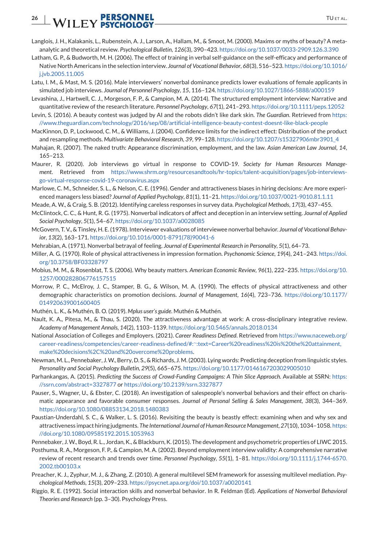# **26 | WILEY PERSONNEL** TUETAL.

- Langlois, J. H., Kalakanis, L., Rubenstein, A. J., Larson, A., Hallam, M., & Smoot, M. (2000). Maxims or myths of beauty? A metaanalytic and theoretical review. *Psychological Bulletin*, *126*(3), 390–423. https://doi.org/10.1037/0033-2909.126.3.390
- Latham, G. P., & Budworth, M. H. (2006). The effect of training in verbal self-guidance on the self-efficacy and performance of Native North Americans in the selection interview. *Journal of Vocational Behavior*, *68*(3), 516–523. https://doi.org/10.1016/ i.jvb.2005.11.005
- Latu, I. M., & Mast, M. S. (2016). Male interviewers' nonverbal dominance predicts lower evaluations of female applicants in simulated job interviews. *Journal of Personnel Psychology*, *15*, 116–124. https://doi.org/10.1027/1866-5888/a000159
- Levashina, J., Hartwell, C. J., Morgeson, F. P., & Campion, M. A. (2014). The structured employment interview: Narrative and quantitative review of the research literature. *Personnel Psychology*, *67*(1), 241–293. https://doi.org/10.1111/peps.12052
- Levin, S. (2016). A beauty contest was judged by AI and the robots didn't like dark skin. *The Guardian*. Retrieved from https: //www.theguardian.com/technology/2016/sep/08/artificial-intelligence-beauty-contest-doesnt-like-black-people
- MacKinnon, D. P., Lockwood, C. M., & Williams, J. (2004). Confidence limits for the indirect effect: Distribution of the product and resampling methods. *Multivariate Behavioral Research*, *39*, 99–128. https://doi.org/10.1207/s15327906mbr3901\_4
- Mahajan, R. (2007). The naked truth: Appearance discrimination, employment, and the law. *Asian American Law Journal*, *14*, 165–213.
- Maurer, R. (2020). Job interviews go virtual in response to COVID-19. *Society for Human Resources Management*. Retrieved from https://www.shrm.org/resourcesandtools/hr-topics/talent-acquisition/pages/job-interviewsgo-virtual-response-covid-19-coronavirus.aspx
- Marlowe, C. M., Schneider, S. L., & Nelson, C. E. (1996). Gender and attractiveness biases in hiring decisions: Are more experienced managers less biased? *Journal of Applied Psychology*, *81*(1), 11–21. https://doi.org/10.1037/0021-9010.81.1.11
- Meade, A. W., & Craig, S. B. (2012). Identifying careless responses in survey data. *Psychological Methods*, *17*(3), 437–455.
- McClintock, C. C., & Hunt, R. G. (1975). Nonverbal indicators of affect and deception in an interview setting. *Journal of Applied Social Psychology*, *5*(1), 54–67. https://doi.org/10.1037/a0028085
- McGovern, T. V., & Tinsley, H. E. (1978). Interviewer evaluations of interviewee nonverbal behavior. *Journal of Vocational Behavior*, *13*(2), 163–171. https://doi.org/10.1016/0001-8791(78)90041-6
- Mehrabian, A. (1971). Nonverbal betrayal of feeling. *Journal of Experimental Research in Personality*, *5*(1), 64–73.
- Miller, A. G. (1970). Role of physical attractiveness in impression formation. *Psychonomic Science*, *19*(4), 241–243. https://doi. org/10.3758/BF03328797
- Mobius, M. M., & Rosenblat, T. S. (2006). Why beauty matters. *American Economic Review*, *96*(1), 222–235. https://doi.org/10. 1257/000282806776157515
- Morrow, P. C., McElroy, J. C., Stamper, B. G., & Wilson, M. A. (1990). The effects of physical attractiveness and other demographic characteristics on promotion decisions. *Journal of Management*, *16*(4), 723–736. https://doi.org/10.1177/ 014920639001600405
- Muthén, L. K., & Muthén, B. O. (2019). *Mplus user's guide*. Muthén & Muthén.
- Nault, K. A., Pitesa, M., & Thau, S. (2020). The attractiveness advantage at work: A cross-disciplinary integrative review. *Academy of Management Annals*, *14*(2), 1103–1139. https://doi.org/10.5465/annals.2018.0134
- National Association of Colleges and Employers. (2021). *Career Readiness Defined*. Retrieved from https://www.naceweb.org/ career-readiness/competencies/career-readiness-defined/#:<sup>∼</sup>:text=Career%20readiness%20is%20the%20attainment, make%20decisions%2C%20and%20overcome%20problems.
- Newman, M. L., Pennebaker, J.W., Berry, D. S., & Richards, J. M. (2003). Lying words: Predicting deception from linguistic styles. *Personality and Social Psychology Bulletin*, *29*(5), 665–675. https://doi.org/10.1177/0146167203029005010
- Parhankangas, A. (2015). *Predicting the Success of Crowd-Funding Campaigns: A Thin Slice Approach*. Available at SSRN: https: //ssrn.com/abstract=3327877 or https://doi.org/10.2139/ssrn.3327877
- Pauser, S., Wagner, U., & Ebster, C. (2018). An investigation of salespeople's nonverbal behaviors and their effect on charismatic appearance and favorable consumer responses. *Journal of Personal Selling & Sales Management*, *38*(3), 344–369. https://doi.org/10.1080/08853134.2018.1480383
- Paustian-Underdahl, S. C., & Walker, L. S. (2016). Revisiting the beauty is beastly effect: examining when and why sex and attractiveness impact hiring judgments. *The International Journal of Human Resource Management*, *27*(10), 1034–1058. https: //doi.org/10.1080/09585192.2015.1053963
- Pennebaker, J.W., Boyd, R. L., Jordan, K., & Blackburn, K. (2015). The development and psychometric properties of LIWC 2015.
- Posthuma, R. A., Morgeson, F. P., & Campion, M. A. (2002). Beyond employment interview validity: A comprehensive narrative review of recent research and trends over time. *Personnel Psychology*, *55*(1), 1–81. https://doi.org/10.1111/j.1744-6570. 2002.tb00103.x
- Preacher, K. J., Zyphur, M. J., & Zhang, Z. (2010). A general multilevel SEM framework for assessing multilevel mediation. *Psychological Methods*, *15*(3), 209–233. https://psycnet.apa.org/doi/10.1037/a0020141
- Riggio, R. E. (1992). Social interaction skills and nonverbal behavior. In R. Feldman (Ed). *Applications of Nonverbal Behavioral Theories and Research* (pp. 3–30). Psychology Press.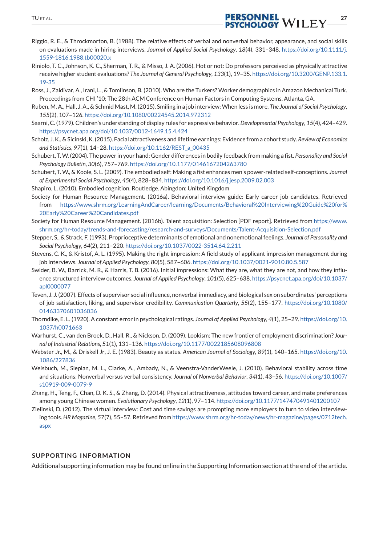- Riggio, R. E., & Throckmorton, B. (1988). The relative effects of verbal and nonverbal behavior, appearance, and social skills on evaluations made in hiring interviews. *Journal of Applied Social Psychology*, *18*(4), 331–348. https://doi.org/10.1111/j. 1559-1816.1988.tb00020.x
- Riniolo, T. C., Johnson, K. C., Sherman, T. R., & Misso, J. A. (2006). Hot or not: Do professors perceived as physically attractive receive higher student evaluations? *The Journal of General Psychology*, *133*(1), 19–35. https://doi.org/10.3200/GENP.133.1. 19-35
- Ross, J., Zaldivar, A., Irani, L., & Tomlinson, B. (2010). Who are the Turkers? Worker demographics in Amazon Mechanical Turk. Proceedings from CHI '10: The 28th ACM Conference on Human Factors in Computing Systems. Atlanta, GA.
- Ruben, M. A., Hall, J. A., & Schmid Mast, M. (2015). Smiling in a job interview:When less is more. *The Journal of Social Psychology*, *155*(2), 107–126. https://doi.org/10.1080/00224545.2014.972312
- Saarni, C. (1979). Children's understanding of display rules for expressive behavior.*Developmental Psychology*, *15*(4), 424–429. https://psycnet.apa.org/doi/10.1037/0012-1649.15.4.424
- Scholz, J. K., & Sicinski, K. (2015). Facial attractiveness and lifetime earnings: Evidence from a cohort study. *Review of Economics and Statistics*, *97*(1), 14–28. https://doi.org/10.1162/REST\_a\_00435
- Schubert, T.W. (2004). The power in your hand: Gender differences in bodily feedback from making a fist. *Personality and Social Psychology Bulletin*, *30*(6), 757–769. https://doi.org/10.1177/0146167204263780
- Schubert, T. W., & Koole, S. L. (2009). The embodied self: Making a fist enhances men's power-related self-conceptions. *Journal of Experimental Social Psychology*, *45*(4), 828–834. https://doi.org/10.1016/j.jesp.2009.02.003
- Shapiro, L. (2010). Embodied cognition. Routledge. Abingdon: United Kingdom
- Society for Human Resource Management. (2016a). Behavioral interview guide: Early career job candidates. Retrieved from https://www.shrm.org/LearningAndCareer/learning/Documents/Behavioral%20Interviewing%20Guide%20for% 20Early%20Career%20Candidates.pdf
- Society for Human Resource Management. (2016b). Talent acquisition: Selection [PDF report]. Retrieved from https://www. shrm.org/hr-today/trends-and-forecasting/research-and-surveys/Documents/Talent-Acquisition-Selection.pdf
- Stepper, S., & Strack, F. (1993). Proprioceptive determinants of emotional and nonemotional feelings. *Journal of Personality and Social Psychology*, *64*(2), 211–220. https://doi.org/10.1037/0022-3514.64.2.211
- Stevens, C. K., & Kristof, A. L. (1995). Making the right impression: A field study of applicant impression management during job interviews. *Journal of Applied Psychology*, *80*(5), 587–606. https://doi.org/10.1037/0021-9010.80.5.587
- Swider, B. W., Barrick, M. R., & Harris, T. B. (2016). Initial impressions: What they are, what they are not, and how they influence structured interview outcomes. *Journal of Applied Psychology*, *101*(5), 625–638. https://psycnet.apa.org/doi/10.1037/ apl0000077
- Teven, J. J. (2007). Effects of supervisor social influence, nonverbal immediacy, and biological sex on subordinates' perceptions of job satisfaction, liking, and supervisor credibility. *Communication Quarterly*, *55*(2), 155–177. https://doi.org/10.1080/ 01463370601036036
- Thorndike, E. L. (1920). A constant error in psychological ratings. *Journal of Applied Psychology*, *4*(1), 25–29. https://doi.org/10. 1037/h0071663
- Warhurst, C., van den Broek, D., Hall, R., & Nickson, D. (2009). Lookism: The new frontier of employment discrimination? *Journal of Industrial Relations*, *51*(1), 131–136. https://doi.org/10.1177/0022185608096808
- Webster Jr., M., & Driskell Jr, J. E. (1983). Beauty as status. *American Journal of Sociology*, *89*(1), 140–165. https://doi.org/10. 1086/227836
- Weisbuch, M., Slepian, M. L., Clarke, A., Ambady, N., & Veenstra-VanderWeele, J. (2010). Behavioral stability across time and situations: Nonverbal versus verbal consistency. *Journal of Nonverbal Behavior*, *34*(1), 43–56. https://doi.org/10.1007/ s10919-009-0079-9
- Zhang, H., Teng, F., Chan, D. K. S., & Zhang, D. (2014). Physical attractiveness, attitudes toward career, and mate preferences among young Chinese women. *Evolutionary Psychology*, *12*(1), 97–114. https://doi.org/10.1177/147470491401200107
- Zielinski, D. (2012). The virtual interview: Cost and time savings are prompting more employers to turn to video interviewing tools. *HR Magazine*, *57*(7), 55–57. Retrieved from https://www.shrm.org/hr-today/news/hr-magazine/pages/0712tech. aspx

#### **SUPPORTING INFORMATION**

Additional supporting information may be found online in the Supporting Information section at the end of the article.